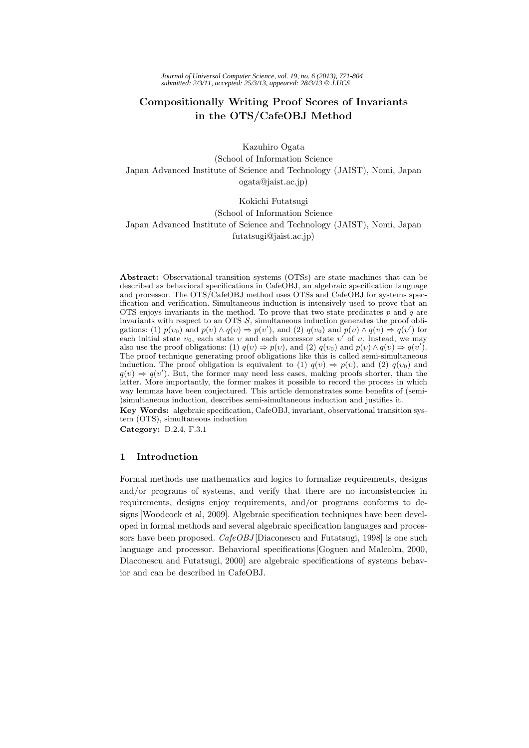# **Compositionally Writing Proof Scores of Invariants in the OTS/CafeOBJ Method**

Kazuhiro Ogata

(School of Information Science Japan Advanced Institute of Science and Technology (JAIST), Nomi, Japan ogata@jaist.ac.jp)

# Kokichi Futatsugi

#### (School of Information Science

Japan Advanced Institute of Science and Technology (JAIST), Nomi, Japan futatsugi@jaist.ac.jp)

**Abstract:** Observational transition systems (OTSs) are state machines that can be described as behavioral specifications in CafeOBJ, an algebraic specification language and processor. The OTS/CafeOBJ method uses OTSs and CafeOBJ for systems specification and verification. Simultaneous induction is intensively used to prove that an OTS enjoys invariants in the method. To prove that two state predicates  $p$  and  $q$  are invariants with respect to an OTS  $S$ , simultaneous induction generates the proof obligations: (1)  $p(v_0)$  and  $p(v) \wedge q(v) \Rightarrow p(v')$ , and (2)  $q(v_0)$  and  $p(v) \wedge q(v) \Rightarrow q(v')$  for each initial state  $v_0$ , each state v and each successor state v' of v. Instead, we may also use the proof obligations: (1)  $q(v) \Rightarrow p(v)$ , and (2)  $q(v_0)$  and  $p(v) \land q(v) \Rightarrow q(v')$ . The proof technique generating proof obligations like this is called semi-simultaneous induction. The proof obligation is equivalent to (1)  $q(v) \Rightarrow p(v)$ , and (2)  $q(v_0)$  and  $q(v) \Rightarrow q(v')$ . But, the former may need less cases, making proofs shorter, than the latter. More importantly, the former makes it possible to record the process in which way lemmas have been conjectured. This article demonstrates some benefits of (semi- )simultaneous induction, describes semi-simultaneous induction and justifies it.

**Key Words:** algebraic specification, CafeOBJ, invariant, observational transition system (OTS), simultaneous induction

**Category:** D.2.4, F.3.1

# **1 Introduction**

Formal methods use mathematics and logics to formalize requirements, designs and/or programs of systems, and verify that there are no inconsistencies in requirements, designs enjoy requirements, and/or programs conforms to designs [Woodcock et al, 2009]. Algebraic specification techniques have been developed in formal methods and several algebraic specification languages and processors have been proposed. *CafeOBJ* [Diaconescu and Futatsugi, 1998] is one such language and processor. Behavioral specifications [Goguen and Malcolm, 2000, Diaconescu and Futatsugi, 2000] are algebraic specifications of systems behavior and can be described in CafeOBJ.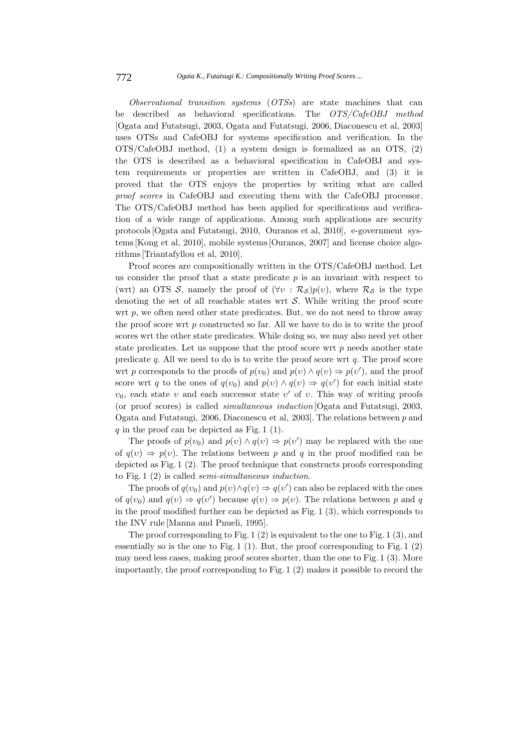*Observational transition systems* (*OTSs*) are state machines that can be described as behavioral specifications. The *OTS/CafeOBJ method* [Ogata and Futatsugi, 2003, Ogata and Futatsugi, 2006, Diaconescu et al, 2003] uses OTSs and CafeOBJ for systems specification and verification. In the OTS/CafeOBJ method, (1) a system design is formalized as an OTS, (2) the OTS is described as a behavioral specification in CafeOBJ and system requirements or properties are written in CafeOBJ, and (3) it is proved that the OTS enjoys the properties by writing what are called *proof scores* in CafeOBJ and executing them with the CafeOBJ processor. The OTS/CafeOBJ method has been applied for specifications and verification of a wide range of applications. Among such applications are security protocols [Ogata and Futatsugi, 2010, Ouranos et al, 2010], e-government systems [Kong et al, 2010], mobile systems [Ouranos, 2007] and license choice algorithms [Triantafyllou et al, 2010].

Proof scores are compositionally written in the OTS/CafeOBJ method. Let us consider the proof that a state predicate  $p$  is an invariant with respect to (wrt) an OTS S, namely the proof of  $(\forall v : R_S)p(v)$ , where  $R_S$  is the type denoting the set of all reachable states wrt  $S$ . While writing the proof score wrt  $p$ , we often need other state predicates. But, we do not need to throw away the proof score wrt  $p$  constructed so far. All we have to do is to write the proof scores wrt the other state predicates. While doing so, we may also need yet other state predicates. Let us suppose that the proof score wrt  $p$  needs another state predicate q. All we need to do is to write the proof score wrt q. The proof score wrt p corresponds to the proofs of  $p(v_0)$  and  $p(v) \wedge q(v) \Rightarrow p(v')$ , and the proof score wrt q to the ones of  $q(v_0)$  and  $p(v) \wedge q(v) \Rightarrow q(v')$  for each initial state  $v_0$ , each state v and each successor state v' of v. This way of writing proofs (or proof scores) is called *simultaneous induction* [Ogata and Futatsugi, 2003, Ogata and Futatsugi, 2006, Diaconescu et al, 2003]. The relations between p and  $q$  in the proof can be depicted as Fig. 1 (1).

The proofs of  $p(v_0)$  and  $p(v) \wedge q(v) \Rightarrow p(v')$  may be replaced with the one of  $q(v) \Rightarrow p(v)$ . The relations between p and q in the proof modified can be depicted as Fig. 1 (2). The proof technique that constructs proofs corresponding to Fig. 1 (2) is called *semi-simultaneous induction*.

The proofs of  $q(v_0)$  and  $p(v) \wedge q(v) \Rightarrow q(v')$  can also be replaced with the ones of  $q(v_0)$  and  $q(v) \Rightarrow q(v')$  because  $q(v) \Rightarrow p(v)$ . The relations between p and q in the proof modified further can be depicted as  $Fig. 1 (3)$ , which corresponds to the INV rule [Manna and Pnueli, 1995].

The proof corresponding to Fig. 1  $(2)$  is equivalent to the one to Fig. 1  $(3)$ , and essentially so is the one to Fig. 1 (1). But, the proof corresponding to Fig. 1 (2) may need less cases, making proof scores shorter, than the one to Fig. 1 (3). More importantly, the proof corresponding to Fig. 1 (2) makes it possible to record the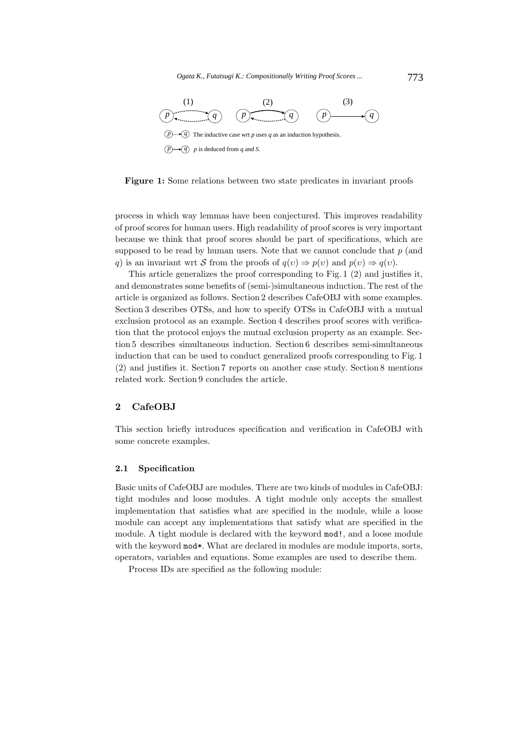

**Figure 1:** Some relations between two state predicates in invariant proofs

process in which way lemmas have been conjectured. This improves readability of proof scores for human users. High readability of proof scores is very important because we think that proof scores should be part of specifications, which are supposed to be read by human users. Note that we cannot conclude that  $p$  (and q) is an invariant wrt S from the proofs of  $q(v) \Rightarrow p(v)$  and  $p(v) \Rightarrow q(v)$ .

This article generalizes the proof corresponding to Fig. 1 (2) and justifies it, and demonstrates some benefits of (semi-)simultaneous induction. The rest of the article is organized as follows. Section 2 describes CafeOBJ with some examples. Section 3 describes OTSs, and how to specify OTSs in CafeOBJ with a mutual exclusion protocol as an example. Section 4 describes proof scores with verification that the protocol enjoys the mutual exclusion property as an example. Section 5 describes simultaneous induction. Section 6 describes semi-simultaneous induction that can be used to conduct generalized proofs corresponding to Fig. 1 (2) and justifies it. Section 7 reports on another case study. Section 8 mentions related work. Section 9 concludes the article.

# **2 CafeOBJ**

This section briefly introduces specification and verification in CafeOBJ with some concrete examples.

### **2.1 Specification**

Basic units of CafeOBJ are modules. There are two kinds of modules in CafeOBJ: tight modules and loose modules. A tight module only accepts the smallest implementation that satisfies what are specified in the module, while a loose module can accept any implementations that satisfy what are specified in the module. A tight module is declared with the keyword mod!, and a loose module with the keyword mod\*. What are declared in modules are module imports, sorts, operators, variables and equations. Some examples are used to describe them.

Process IDs are specified as the following module: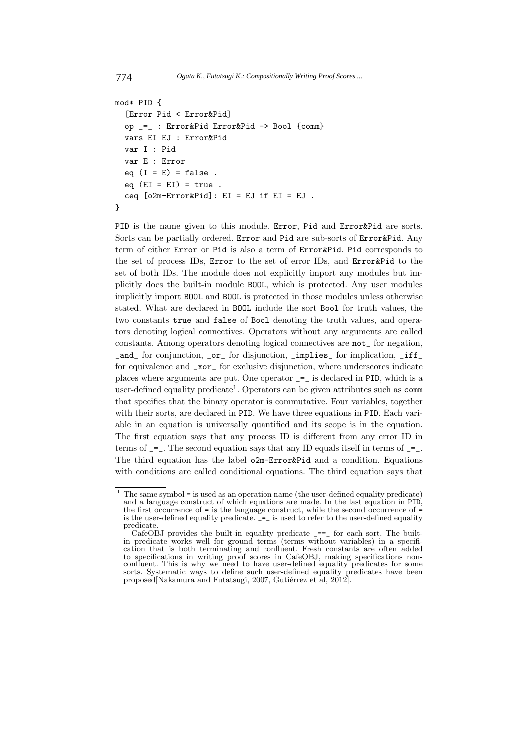```
774 Ogata K., Futatsugi K.: Compositionally Writing Proof Scores ...
```

```
mod* PID {
  [Error Pid < Error&Pid]
  op _=_ : Error&Pid Error&Pid -> Bool {comm}
  vars EI EJ : Error&Pid
  var I : Pid
  var E : Error
  eq (I = E) = false.
  eq (EI = EI) = true.
  ceq [o2m-Error&Pid]: EI = EJ if EI = EJ.
}
```
PID is the name given to this module. Error, Pid and Error&Pid are sorts. Sorts can be partially ordered. Error and Pid are sub-sorts of Error&Pid. Any term of either Error or Pid is also a term of Error&Pid. Pid corresponds to the set of process IDs, Error to the set of error IDs, and Error&Pid to the set of both IDs. The module does not explicitly import any modules but implicitly does the built-in module BOOL, which is protected. Any user modules implicitly import BOOL and BOOL is protected in those modules unless otherwise stated. What are declared in BOOL include the sort Bool for truth values, the two constants true and false of Bool denoting the truth values, and operators denoting logical connectives. Operators without any arguments are called constants. Among operators denoting logical connectives are not\_ for negation, \_and\_ for conjunction, \_or\_ for disjunction, \_implies\_ for implication, \_iff\_ for equivalence and \_xor\_ for exclusive disjunction, where underscores indicate places where arguments are put. One operator \_=\_ is declared in PID, which is a user-defined equality predicate<sup>1</sup>. Operators can be given attributes such as  $comm$ that specifies that the binary operator is commutative. Four variables, together with their sorts, are declared in PID. We have three equations in PID. Each variable in an equation is universally quantified and its scope is in the equation. The first equation says that any process ID is different from any error ID in terms of  $\epsilon$  =... The second equation says that any ID equals itself in terms of  $\epsilon$  =... The third equation has the label o2m-Error&Pid and a condition. Equations with conditions are called conditional equations. The third equation says that

 $1$  The same symbol = is used as an operation name (the user-defined equality predicate) and a language construct of which equations are made. In the last equation in PID, the first occurrence of = is the language construct, while the second occurrence of = is the user-defined equality predicate.  $\mathbf{I} = \mathbf{$ predicate.

CafeOBJ provides the built-in equality predicate  $\equiv$  == for each sort. The builtin predicate works well for ground terms (terms without variables) in a specification that is both terminating and confluent. Fresh constants are often added to specifications in writing proof scores in CafeOBJ, making specifications nonconfluent. This is why we need to have user-defined equality predicates for some sorts. Systematic ways to define such user-defined equality predicates have been proposed[Nakamura and Futatsugi, 2007, Gutiérrez et al, 2012].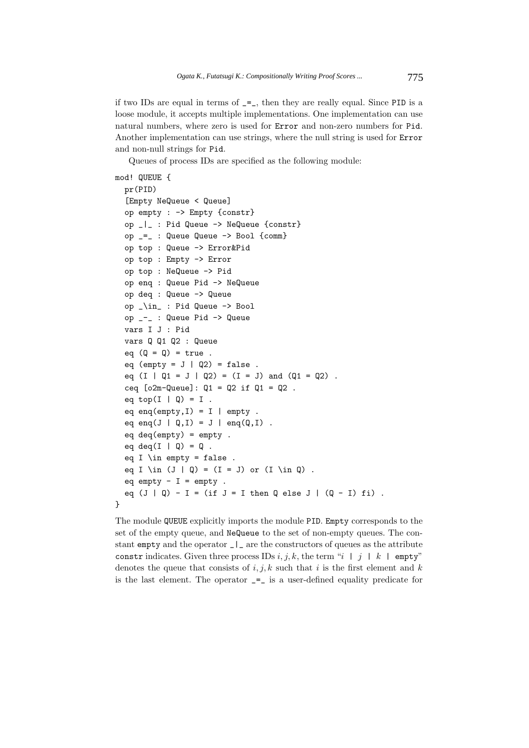if two IDs are equal in terms of  $=$ , then they are really equal. Since PID is a loose module, it accepts multiple implementations. One implementation can use natural numbers, where zero is used for Error and non-zero numbers for Pid. Another implementation can use strings, where the null string is used for Error and non-null strings for Pid.

Queues of process IDs are specified as the following module:

```
mod! QUEUE {
 pr(PID)
  [Empty NeQueue < Queue]
 op empty : -> Empty {constr}
  op _|_ : Pid Queue -> NeQueue {constr}
 op _=_ : Queue Queue -> Bool {comm}
 op top : Queue -> Error&Pid
 op top : Empty -> Error
 op top : NeQueue -> Pid
  op enq : Queue Pid -> NeQueue
 op deq : Queue -> Queue
 op _\in_ : Pid Queue -> Bool
 op _-_ : Queue Pid -> Queue
  vars I J : Pid
 vars Q Q1 Q2 : Queue
  eq (Q = Q) = true.
 eq (empty = J | Q2) = false.
  eq (I | Q1 = J | Q2) = (I = J) and (Q1 = Q2).
  ceq [o2m-Queue]: Q1 = Q2 if Q1 = Q2 .
  eq top(I | Q) = I.
  eq enq(empty, I) = I | empty.
  eq enq(J | Q, I) = J | end(Q, I).
  eq deq(empty) = empty .
 eq deq(I \mid Q) = Q.
  eq I \in empty = false.
  eq I \in (J | Q) = (I = J) or (I \in Q).
 eq empty - I = empty.
  eq (J | Q) - I = (if J = I then Q else J | (Q - I) fi).
}
```
The module QUEUE explicitly imports the module PID. Empty corresponds to the set of the empty queue, and NeQueue to the set of non-empty queues. The constant empty and the operator \_|\_ are the constructors of queues as the attribute constr indicates. Given three process IDs i, j, k, the term "i | j | k | empty" denotes the queue that consists of  $i, j, k$  such that i is the first element and k is the last element. The operator  $=$   $\equiv$  is a user-defined equality predicate for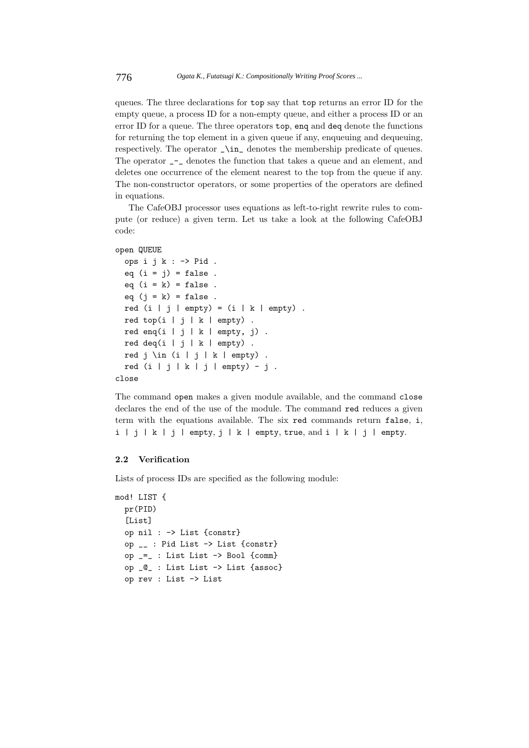queues. The three declarations for top say that top returns an error ID for the empty queue, a process ID for a non-empty queue, and either a process ID or an error ID for a queue. The three operators top, enq and deq denote the functions for returning the top element in a given queue if any, enqueuing and dequeuing, respectively. The operator  $\ln$  denotes the membership predicate of queues. The operator \_-\_ denotes the function that takes a queue and an element, and deletes one occurrence of the element nearest to the top from the queue if any. The non-constructor operators, or some properties of the operators are defined in equations.

The CafeOBJ processor uses equations as left-to-right rewrite rules to compute (or reduce) a given term. Let us take a look at the following CafeOBJ code:

# open QUEUE

```
ops i j k : -> Pid .
 eq (i = j) = false.
 eq (i = k) = false.
 eq (i = k) = false.
 red (i | j | empty) = (i | k | empty).
 red top(i | j | k | empty).
 red enq(i | j | k | empty, j).
 red deq(i | j | k | empty).
 red j \in (i | j | k | empty).
 red (i | j | k | j | empty) - j.
close
```
The command open makes a given module available, and the command close declares the end of the use of the module. The command red reduces a given term with the equations available. The six red commands return false, i, i | j | k | j | empty, j | k | empty, true, and i | k | j | empty.

# **2.2 Verification**

Lists of process IDs are specified as the following module:

```
mod! LIST {
 pr(PID)
  [List]
 op nil : -> List {constr}
 op __ : Pid List -> List {constr}
 op _=_ : List List -> Bool {comm}
  op _@_ : List List -> List {assoc}
 op rev : List -> List
```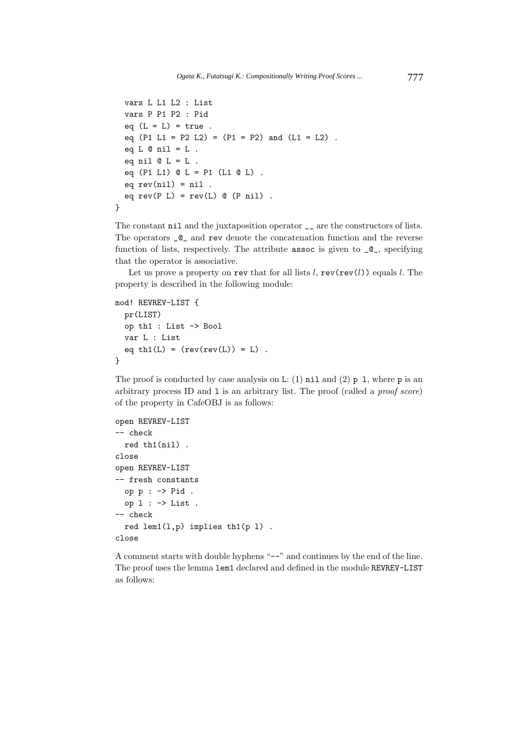```
vars L L1 L2 : List
  vars P P1 P2 : Pid
  eq (L = L) = true.
  eq (P1 L1 = P2 L2) = (P1 = P2) and (L1 = L2).
  eq L \otimes nil = L.
  eq nil @L = L.
  eq (P1 L1) @ L = P1 (L1 @ L) .
  eq rev(nil) = nil.
  eq rev(P L) = rev(L) @ (P nil).
}
```
The constant nil and the juxtaposition operator  $\overline{\phantom{a}}$  are the constructors of lists. The operators \_@\_ and rev denote the concatenation function and the reverse function of lists, respectively. The attribute assoc is given to  $\mathcal{Q}_-$ , specifying that the operator is associative.

Let us prove a property on rev that for all lists  $l$ , rev(rev(l)) equals l. The property is described in the following module:

```
mod! REVREV-LIST {
 pr(LIST)
  op th1 : List -> Bool
  var L : List
  eq th1(L) = (rev(rev(L)) = L).
}
```
The proof is conducted by case analysis on L: (1)  $nil$  and (2) p 1, where p is an arbitrary process ID and l is an arbitrary list. The proof (called a *proof score*) of the property in CafeOBJ is as follows:

```
open REVREV-LIST
-- check
  red th1(nil) .
close
open REVREV-LIST
-- fresh constants
 op p : -> Pid .
 op 1: \rightarrow List.
-- check
  red lem1(l,p) implies th1(p l) .
close
```
A comment starts with double hyphens "--" and continues by the end of the line. The proof uses the lemma lem1 declared and defined in the module REVREV-LIST as follows: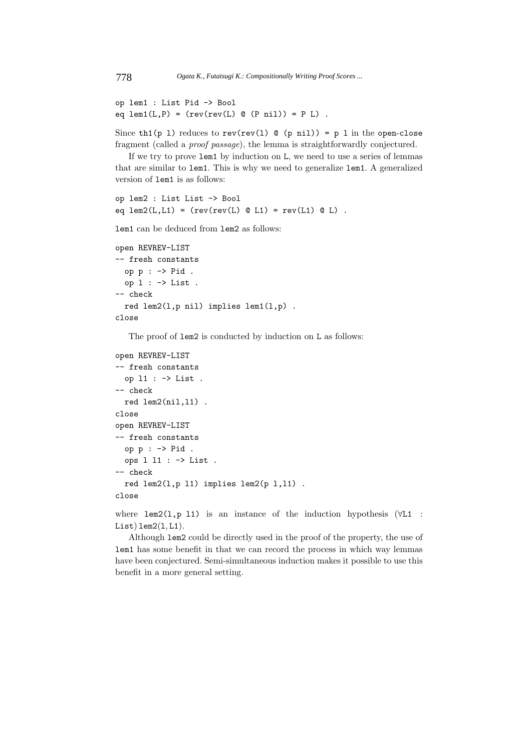```
op lem1 : List Pid -> Bool
eq lem1(L,P) = (rev(rev(L) @ (P nil)) = P L).
```
Since th1(p 1) reduces to rev(rev(1)  $\&$  (p nil)) = p 1 in the open-close fragment (called a *proof passage*), the lemma is straightforwardly conjectured.

If we try to prove lem1 by induction on L, we need to use a series of lemmas that are similar to lem1. This is why we need to generalize lem1. A generalized version of lem1 is as follows:

```
op lem2 : List List -> Bool
eq lem2(L,L1) = (rev(rev(L) @ L1) = rev(L1) @ L).
```
lem1 can be deduced from lem2 as follows:

```
open REVREV-LIST
-- fresh constants
 op p : -> Pid .
  op 1: \rightarrow List.
-- check
  red lem2(l,p nil) implies lem1(l,p) .
close
```
The proof of  $l$ em<sub>2</sub> is conducted by induction on L as follows:

```
open REVREV-LIST
-- fresh constants
 op l1 : -> List .
-- check
 red lem2(nil,l1) .
close
open REVREV-LIST
-- fresh constants
 op p : -> Pid .
 ops l l1 : -> List .
-- check
 red lem2(l,p l1) implies lem2(p l,l1) .
close
```
where lem2(l,p 11) is an instance of the induction hypothesis  $(\forall L1$ :  $List)$ lem $2(1, L1)$ .

Although lem2 could be directly used in the proof of the property, the use of lem1 has some benefit in that we can record the process in which way lemmas have been conjectured. Semi-simultaneous induction makes it possible to use this benefit in a more general setting.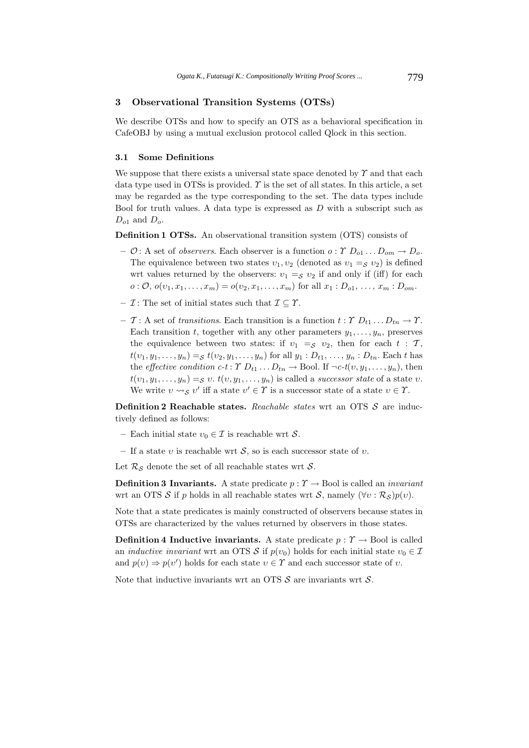# **3 Observational Transition Systems (OTSs)**

We describe OTSs and how to specify an OTS as a behavioral specification in CafeOBJ by using a mutual exclusion protocol called Qlock in this section.

### **3.1 Some Definitions**

We suppose that there exists a universal state space denoted by  $\gamma$  and that each data type used in OTSs is provided.  $\gamma$  is the set of all states. In this article, a set may be regarded as the type corresponding to the set. The data types include Bool for truth values. A data type is expressed as  $D$  with a subscript such as  $D_{o1}$  and  $D_{o}$ .

**Definition 1 OTSs.** An observational transition system (OTS) consists of

- $\sim \mathcal{O}:$  A set of *observers*. Each observer is a function  $o: \mathcal{V}$   $D_{o1} \dots D_{om} \rightarrow D_{o}$ . The equivalence between two states  $v_1, v_2$  (denoted as  $v_1 =_S v_2$ ) is defined wrt values returned by the observers:  $v_1 =_S v_2$  if and only if (iff) for each  $o: \mathcal{O}, o(v_1, x_1, \ldots, x_m) = o(v_2, x_1, \ldots, x_m)$  for all  $x_1 : D_{o1}, \ldots, x_m : D_{om}$ .
- $\mathcal{I}$  : The set of initial states such that  $\mathcal{I} \subseteq \mathcal{Y}$ .
- **–** T: A set of *transitions*. Each transition is a function  $t : \Upsilon D_{t1} \dots D_{tn} \to \Upsilon$ . Each transition t, together with any other parameters  $y_1, \ldots, y_n$ , preserves the equivalence between two states: if  $v_1 =_S v_2$ , then for each  $t : T$ ,  $t(v_1, y_1,..., y_n) =_{\mathcal{S}} t(v_2, y_1,..., y_n)$  for all  $y_1 : D_{t_1},..., y_n : D_{t_n}$ . Each t has the *effective condition c-t* :  $\Upsilon D_{t1} \dots D_{tn} \to \text{Bool}$ . If  $\neg c \cdot t(v, y_1, \dots, y_n)$ , then  $t(v_1, y_1,..., y_n) = S v. t(v, y_1,..., y_n)$  is called a *successor state* of a state v. We write  $v \rightsquigarrow_S v'$  iff a state  $v' \in \Upsilon$  is a successor state of a state  $v \in \Upsilon$ .

**Definition 2 Reachable states.** *Reachable states* wrt an OTS S are inductively defined as follows:

- Each initial state  $v_0 \in \mathcal{I}$  is reachable wrt  $\mathcal{S}$ .
- If a state v is reachable wrt  $S$ , so is each successor state of v.

Let  $\mathcal{R}_{\mathcal{S}}$  denote the set of all reachable states wrt  $\mathcal{S}$ .

**Definition 3 Invariants.** A state predicate  $p : \Upsilon \to \text{Bool}$  is called an *invariant* wrt an OTS S if p holds in all reachable states wrt S, namely  $(\forall v : \mathcal{R}_{\mathcal{S}})p(v)$ .

Note that a state predicates is mainly constructed of observers because states in OTSs are characterized by the values returned by observers in those states.

**Definition 4 Inductive invariants.** A state predicate  $p : \Upsilon \to \text{Bool}$  is called an *inductive invariant* wrt an OTS S if  $p(v_0)$  holds for each initial state  $v_0 \in \mathcal{I}$ and  $p(v) \Rightarrow p(v')$  holds for each state  $v \in \Upsilon$  and each successor state of  $v$ .

Note that inductive invariants wrt an OTS  $S$  are invariants wrt  $S$ .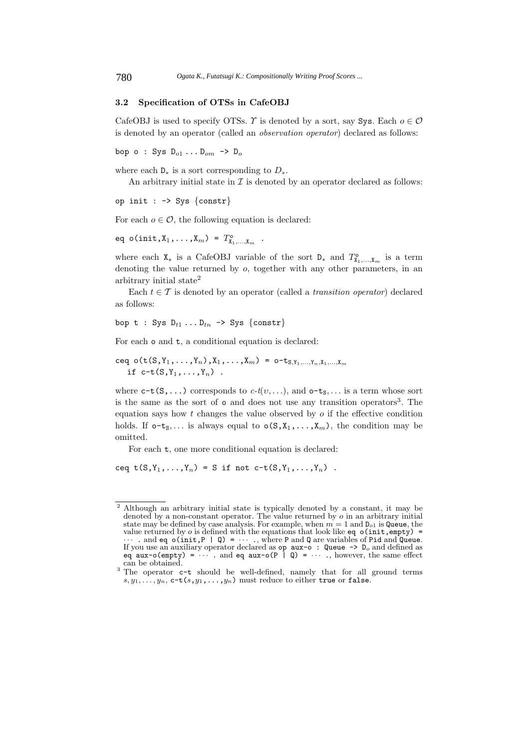# **3.2 Specification of OTSs in CafeOBJ**

CafeOBJ is used to specify OTSs. T is denoted by a sort, say Sys. Each  $o \in \mathcal{O}$ is denoted by an operator (called an *observation operator*) declared as follows:

bop o : Sys  $D_{o1} \ldots D_{om}$  ->  $D_o$ 

where each  $D_*$  is a sort corresponding to  $D_*$ .

An arbitrary initial state in  $\mathcal I$  is denoted by an operator declared as follows:

op init :  $\rightarrow$  Sys {constr}

For each  $o \in \mathcal{O}$ , the following equation is declared:

eq o(init, $X_1, ..., X_m$ ) =  $T_{X_1,...,X_m}^{\circ}$ .

where each  $X_*$  is a CafeOBJ variable of the sort  $D_*$  and  $T^{\circ}_{X_1,\dots,X_m}$  is a term denoting the value returned by o, together with any other parameters, in an arbitrary initial state<sup>2</sup>

Each  $t \in \mathcal{T}$  is denoted by an operator (called a *transition operator*) declared as follows:

bop t : Sys D*t*<sup>1</sup> ... D*tn* -> Sys {constr}

For each o and t, a conditional equation is declared:

ceq o(t(S,  $Y_1, \ldots, Y_n$ ),  $X_1, \ldots, X_m$ ) = o-t<sub>S,  $Y_1, \ldots, Y_n, X_1, \ldots, X_m$ </sub> if  $c-t(S, Y_1, ..., Y_n)$ .

where  $c-t(S,\ldots)$  corresponds to  $c-t(v,\ldots)$ , and  $o-t<sub>S</sub>,\ldots$  is a term whose sort is the same as the sort of  $\circ$  and does not use any transition operators<sup>3</sup>. The equation says how  $t$  changes the value observed by  $\sigma$  if the effective condition holds. If  $o-t_s$ ,... is always equal to  $o(S, X_1, \ldots, X_m)$ , the condition may be omitted.

For each  $t$ , one more conditional equation is declared:

ceq  $t(S,Y_1,\ldots,Y_n) = S$  if not  $c-t(S,Y_1,\ldots,Y_n)$ .

<sup>&</sup>lt;sup>2</sup> Although an arbitrary initial state is typically denoted by a constant, it may be denoted by a non-constant operator. The value returned by  $o$  in an arbitrary initial state may be defined by case analysis. For example, when  $m = 1$  and  $D_{o1}$  is Queue, the value returned by  $o$  is defined with the equations that look like  $eq o(int,empty) =$ ··· . and eq o(init,P | Q) = ··· ., where <sup>P</sup> and <sup>Q</sup> are variables of Pid and Queue. If you use an auxiliary operator declared as op aux-o : Queue -> D*<sup>o</sup>* and defined as eq  $aux-o(\text{empty}) = \cdots$  and eq  $aux-o(P | Q) = \cdots$ , however, the same effect

can be obtained.<br><sup>3</sup> The operator **c-t** should be well-defined, namely that for all ground terms  $s, y_1, \ldots, y_n$ ,  $c-t(s, y_1, \ldots, y_n)$  must reduce to either true or false.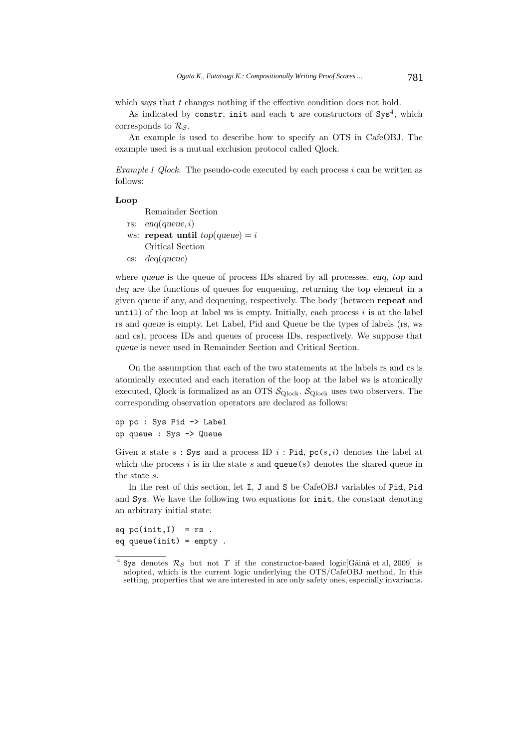which says that  $t$  changes nothing if the effective condition does not hold.

As indicated by constr, init and each  $t$  are constructors of  $Sys<sup>4</sup>$ , which corresponds to  $\mathcal{R}_{\mathcal{S}}$ .

An example is used to describe how to specify an OTS in CafeOBJ. The example used is a mutual exclusion protocol called Qlock.

*Example 1 Qlock.* The pseudo-code executed by each process i can be written as follows:

# **Loop**

- Remainder Section
- rs: *enq*(*queue*, i)
- ws: **repeat until**  $top(queue) = i$ Critical Section
- cs: *deq*(*queue*)

where *queue* is the queue of process IDs shared by all processes. *enq*, *top* and *deq* are the functions of queues for enqueuing, returning the top element in a given queue if any, and dequeuing, respectively. The body (between **repeat** and until) of the loop at label ws is empty. Initially, each process  $i$  is at the label rs and *queue* is empty. Let Label, Pid and Queue be the types of labels (rs, ws and cs), process IDs and queues of process IDs, respectively. We suppose that *queue* is never used in Remainder Section and Critical Section.

On the assumption that each of the two statements at the labels rs and cs is atomically executed and each iteration of the loop at the label ws is atomically executed, Qlock is formalized as an OTS  $\mathcal{S}_{\text{Qlock}}.$   $\mathcal{S}_{\text{Qlock}}$  uses two observers. The corresponding observation operators are declared as follows:

```
op pc : Sys Pid -> Label
op queue : Sys -> Queue
```
Given a state s: Sys and a process ID i: Pid,  $pc(s, i)$  denotes the label at which the process i is in the state s and queue(s) denotes the shared queue in the state s.

In the rest of this section, let I, J and S be CafeOBJ variables of Pid, Pid and Sys. We have the following two equations for init, the constant denoting an arbitrary initial state:

eq  $pc(int, I) = rs$ . eq queue(init) = empty .

Sys denotes  $\mathcal{R}_{\mathcal{S}}$  but not  $\Upsilon$  if the constructor-based logic Gâinâ et al, 2009] is adopted, which is the current logic underlying the OTS/CafeOBJ method. In this setting, properties that we are interested in are only safety ones, especially invariants.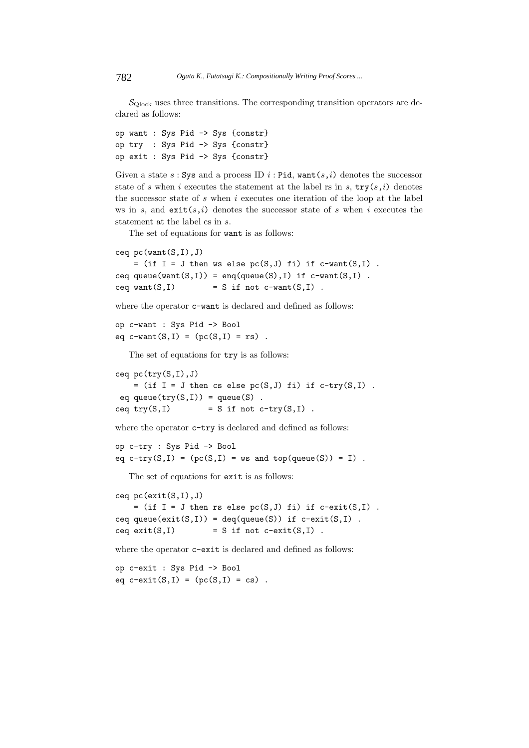$\mathcal{S}_{\text{Olock}}$  uses three transitions. The corresponding transition operators are declared as follows:

op want : Sys Pid -> Sys {constr} op try : Sys Pid -> Sys {constr} op exit : Sys Pid -> Sys {constr}

Given a state s: Sys and a process ID  $i$ : Pid, want $(s, i)$  denotes the successor state of s when i executes the statement at the label rs in s,  $try(s, i)$  denotes the successor state of  $s$  when  $i$  executes one iteration of the loop at the label ws in s, and  $\text{exit}(s,i)$  denotes the successor state of s when i executes the statement at the label cs in s.

The set of equations for want is as follows:

```
ceq pc(want(S,I),J)
```

```
= (if I = J then ws else pc(S,J) fi) if c-want(S,I).
ceq queue(want(S,I)) = enq(queue(S), I) if c-want(S,I).
ceq want(S, I) = S if not c-want(S, I).
```
where the operator  $c$ -want is declared and defined as follows:

op c-want : Sys Pid -> Bool eq  $c$ -want $(S,I) = (pc(S,I) = rs)$ .

The set of equations for  $try$  is as follows:

ceq  $pc(try(S,I),J)$  $=$  (if I = J then cs else pc(S,J) fi) if c-try(S,I). eq queue( $try(S,I)$ ) = queue(S). ceq try $(S,I)$  = S if not c-try $(S,I)$ .

where the operator  $c$ -try is declared and defined as follows:

```
op c-try : Sys Pid -> Bool
eq c-try(S,I) = (pc(S, I) = ws and top(queue(S)) = I).
```
The set of equations for exit is as follows:

```
ceq pc(exit(S,I),J)
   = (if I = J then rs else pc(S,J) fi) if c-exit(S,I).
ceq queue(exit(S,I)) = deq(queue(S)) if c-exit(S,I).
ceq exit(S, I) = S if not c-exit(S,I).
```
where the operator  $c$ -exit is declared and defined as follows:

op c-exit : Sys Pid -> Bool eq  $c$ -exit(S,I) =  $(pc(S,I) = cs)$ .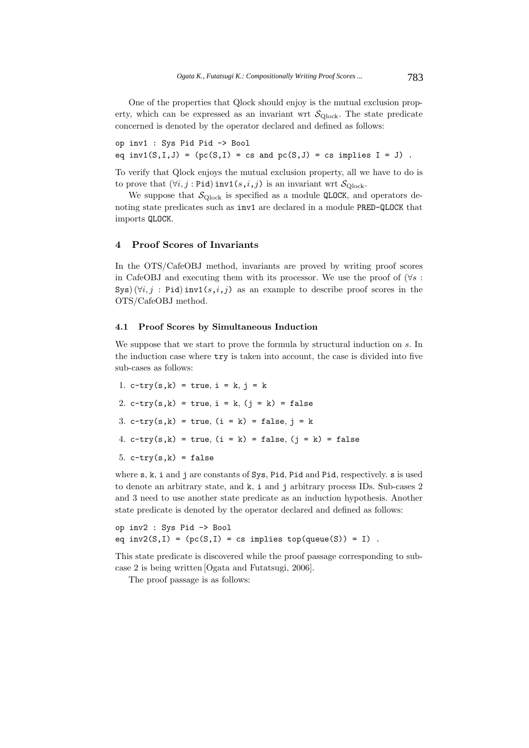One of the properties that Qlock should enjoy is the mutual exclusion property, which can be expressed as an invariant wrt  $\mathcal{S}_{\text{Olock}}$ . The state predicate concerned is denoted by the operator declared and defined as follows:

op inv1 : Sys Pid Pid -> Bool eq inv1(S,I,J) =  $(pc(S,I)) = cs$  and  $pc(S,J) = cs$  implies  $I = J$ .

To verify that Qlock enjoys the mutual exclusion property, all we have to do is to prove that  $(\forall i, j : \text{Pid})$  inv1 $(s, i, j)$  is an invariant wrt  $\mathcal{S}_{\text{Clock}}$ .

We suppose that  $\mathcal{S}_{\text{Qlock}}$  is specified as a module QLOCK, and operators denoting state predicates such as inv1 are declared in a module PRED-QLOCK that imports QLOCK.

# **4 Proof Scores of Invariants**

In the OTS/CafeOBJ method, invariants are proved by writing proof scores in CafeOBJ and executing them with its processor. We use the proof of  $(\forall s :$ Sys)  $(\forall i, j : \text{Pid})$  inv1 $(s, i, j)$  as an example to describe proof scores in the OTS/CafeOBJ method.

# **4.1 Proof Scores by Simultaneous Induction**

We suppose that we start to prove the formula by structural induction on s. In the induction case where try is taken into account, the case is divided into five sub-cases as follows:

1. c-try(s,k) = true,  $i = k$ ,  $j = k$ 2. c-try(s,k) = true,  $i = k$ , ( $j = k$ ) = false 3. c-try(s,k) = true,  $(i = k)$  = false,  $j = k$ 4. c-try(s,k) = true,  $(i = k)$  = false,  $(j = k)$  = false 5.  $c$ -try $(s, k)$  = false

where s, k, i and j are constants of Sys, Pid, Pid and Pid, respectively. s is used to denote an arbitrary state, and k, i and j arbitrary process IDs. Sub-cases 2 and 3 need to use another state predicate as an induction hypothesis. Another state predicate is denoted by the operator declared and defined as follows:

```
op inv2 : Sys Pid -> Bool
eq inv2(S,I) = (pc(S,I) = cs implies top(queue(S)) = I).
```
This state predicate is discovered while the proof passage corresponding to subcase 2 is being written [Ogata and Futatsugi, 2006].

The proof passage is as follows: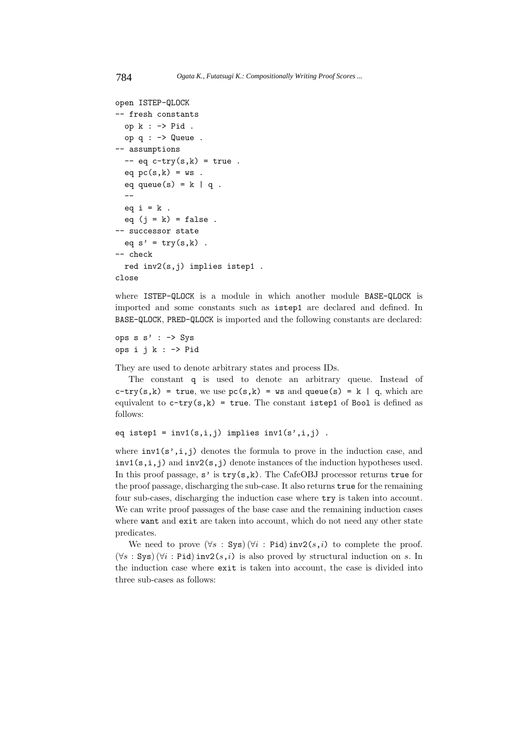```
open ISTEP-QLOCK
-- fresh constants
 op k : -> Pid .
 op q : -> Queue .
-- assumptions
 - eq c-try(s,k) = true.
 eq pc(s, k) = ws.
  eq queue(s) = k | q.
  -eq i = k.
 eq (j = k) = false.
-- successor state
 eq s' = try(s, k).
-- check
 red inv2(s,j) implies istep1 .
close
```
where ISTEP-QLOCK is a module in which another module BASE-QLOCK is imported and some constants such as istep1 are declared and defined. In BASE-QLOCK, PRED-QLOCK is imported and the following constants are declared:

```
ops s s' : -> Sys
ops i j k : -> Pid
```
They are used to denote arbitrary states and process IDs.

The constant q is used to denote an arbitrary queue. Instead of  $c$ -try(s,k) = true, we use  $pc(s, k)$  = ws and queue(s) = k | q, which are equivalent to  $c$ -try(s,k) = true. The constant istep1 of Bool is defined as follows:

```
eq istep1 = inv1(s,i,j) implies inv1(s',i,j).
```
where  $inv1(s', i, j)$  denotes the formula to prove in the induction case, and  $inv1(s,i,j)$  and  $inv2(s,j)$  denote instances of the induction hypotheses used. In this proof passage,  $s'$  is  $try(s,k)$ . The CafeOBJ processor returns true for the proof passage, discharging the sub-case. It also returns true for the remaining four sub-cases, discharging the induction case where try is taken into account. We can write proof passages of the base case and the remaining induction cases where want and exit are taken into account, which do not need any other state predicates.

We need to prove  $(\forall s : Sys)(\forall i : Pid)$  inv2 $(s, i)$  to complete the proof.  $(\forall s : Sys)$   $(\forall i : Pid)$  inv2 $(s, i)$  is also proved by structural induction on s. In the induction case where exit is taken into account, the case is divided into three sub-cases as follows: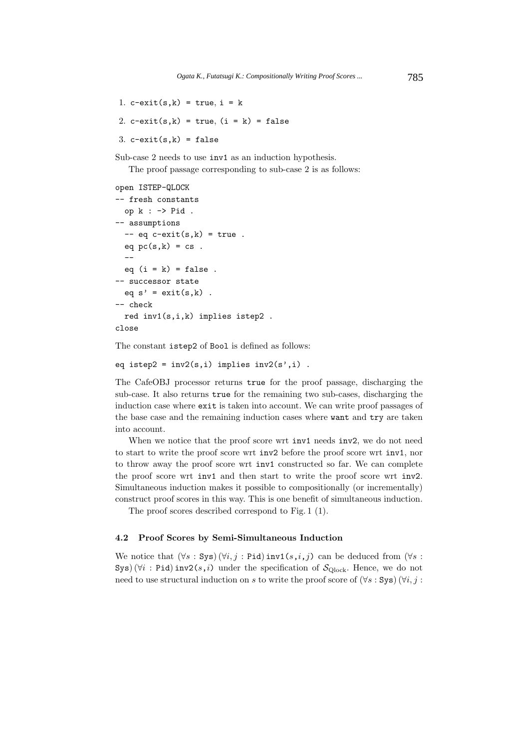1.  $c$ -exit(s,k) = true, i = k

```
2. c-exit(s,k) = true, (i = k) = false
```
3.  $c$ -exit $(s, k)$  = false

Sub-case 2 needs to use inv1 as an induction hypothesis.

The proof passage corresponding to sub-case 2 is as follows:

```
open ISTEP-QLOCK
-- fresh constants
 op k : -> Pid .
-- assumptions
  - eq c-exit(s,k) = true.
 eq pc(s, k) = cs.
  --
 eq (i = k) = false.
-- successor state
  eq s' = exit(s, k).
-- check
 red inv1(s,i,k) implies istep2 .
close
```
The constant istep2 of Bool is defined as follows:

eq istep2 =  $inv2(s,i)$  implies  $inv2(s',i)$ .

The CafeOBJ processor returns true for the proof passage, discharging the sub-case. It also returns true for the remaining two sub-cases, discharging the induction case where exit is taken into account. We can write proof passages of the base case and the remaining induction cases where want and try are taken into account.

When we notice that the proof score wrt inv1 needs inv2, we do not need to start to write the proof score wrt inv2 before the proof score wrt inv1, nor to throw away the proof score wrt inv1 constructed so far. We can complete the proof score wrt inv1 and then start to write the proof score wrt inv2. Simultaneous induction makes it possible to compositionally (or incrementally) construct proof scores in this way. This is one benefit of simultaneous induction.

The proof scores described correspond to Fig. 1 (1).

#### **4.2 Proof Scores by Semi-Simultaneous Induction**

We notice that  $(\forall s : Sys) (\forall i, j : Pid)$  inv1 $(s, i, j)$  can be deduced from  $(\forall s : Sys)$ Sys) ( $\forall i$ : Pid) inv2(s,i) under the specification of  $S_{\text{Qlock}}$ . Hence, we do not need to use structural induction on s to write the proof score of  $(\forall s : Sys)$   $(\forall i, j :$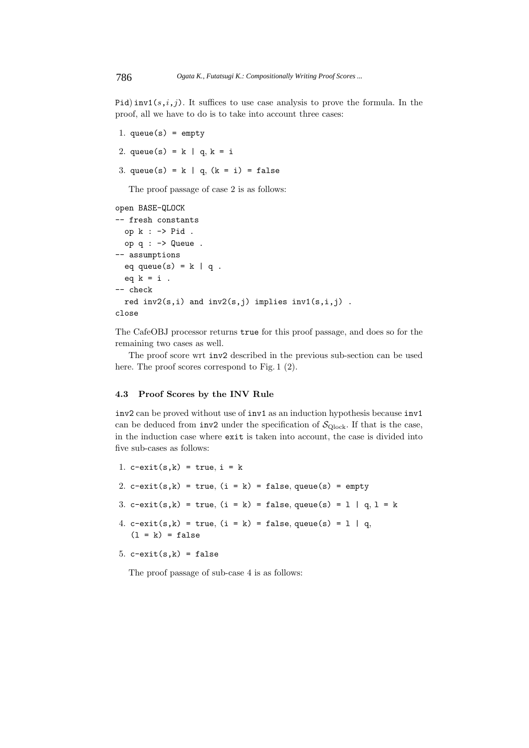Pid) inv1(s,i,j). It suffices to use case analysis to prove the formula. In the proof, all we have to do is to take into account three cases:

1. queue $(s)$  = empty 2. queue(s) =  $k | q, k = i$ 3. queue(s) = k | q,  $(k = i)$  = false The proof passage of case 2 is as follows: open BASE-QLOCK -- fresh constants op k : -> Pid . op q : -> Queue . -- assumptions eq queue(s) =  $k | q$ . eq  $k = i$ . -- check red  $inv2(s,i)$  and  $inv2(s,j)$  implies  $inv1(s,i,j)$ . close

The CafeOBJ processor returns true for this proof passage, and does so for the remaining two cases as well.

The proof score wrt inv2 described in the previous sub-section can be used here. The proof scores correspond to Fig. 1  $(2)$ .

# **4.3 Proof Scores by the INV Rule**

inv2 can be proved without use of inv1 as an induction hypothesis because inv1 can be deduced from  $inv2$  under the specification of  $\mathcal{S}_{\text{Qlock}}$ . If that is the case, in the induction case where exit is taken into account, the case is divided into five sub-cases as follows:

- 1.  $c$ -exit(s,k) = true, i = k
- 2. c-exit(s,k) = true,  $(i = k)$  = false, queue(s) = empty
- 3. c-exit(s,k) = true,  $(i = k)$  = false, queue(s) = 1 | q, 1 = k
- 4. c-exit(s,k) = true,  $(i = k)$  = false, queue(s) = 1 | q,  $(1 = k) = false$

```
5. c-exit(s, k) = false
```
The proof passage of sub-case 4 is as follows: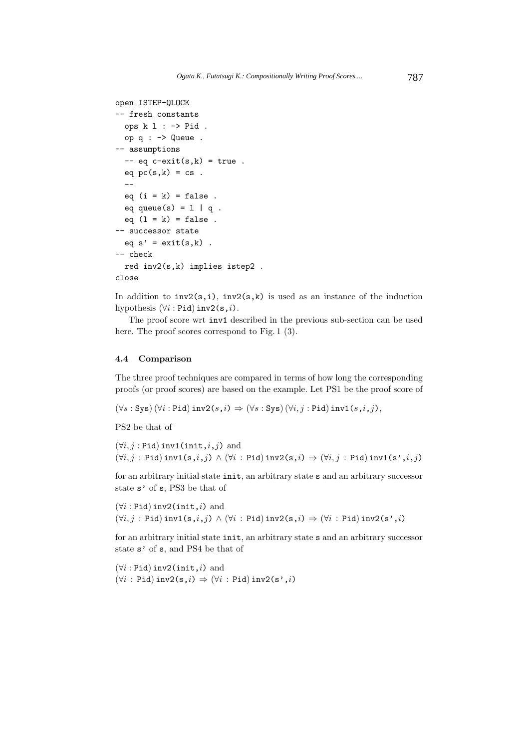```
open ISTEP-QLOCK
-- fresh constants
 ops k l : -> Pid .
 op q : -> Queue .
-- assumptions
 -- eq c-exit(s,k) = true.
 eq pc(s, k) = cs.
  --
 eq (i = k) = false.
 eq queue(s) = 1 | q.
 eq (1 = k) = false.
-- successor state
 eq s' = exit(s, k).
-- check
 red inv2(s,k) implies istep2 .
close
```
In addition to  $inv2(s,i)$ ,  $inv2(s,k)$  is used as an instance of the induction hypothesis  $(\forall i : \text{Pid})$  inv2(s,*i*).

The proof score wrt inv1 described in the previous sub-section can be used here. The proof scores correspond to Fig. 1 (3).

#### **4.4 Comparison**

The three proof techniques are compared in terms of how long the corresponding proofs (or proof scores) are based on the example. Let PS1 be the proof score of

 $(\forall s : \text{Sys}) (\forall i : \text{Pid}) \text{ inv2}(s, i) \Rightarrow (\forall s : \text{Sys}) (\forall i, j : \text{Pid}) \text{ inv1}(s, i, j),$ 

PS2 be that of

 $(\forall i, j : \text{Pid})$  inv1(init, $i, j$ ) and  $(\forall i, j : \text{Pid})$  inv1(s,i,j)  $\land$   $(\forall i : \text{Pid})$  inv2(s,i)  $\Rightarrow$   $(\forall i, j : \text{Pid})$  inv1(s',i,j)

for an arbitrary initial state init, an arbitrary state s and an arbitrary successor state s' of s, PS3 be that of

 $(\forall i : \text{Pid})$  inv2(init, i) and  $(\forall i, j : \text{Pid})$  inv1(s, $i, j$ )  $\wedge$   $(\forall i : \text{Pid})$  inv2(s, $i) \Rightarrow$   $(\forall i : \text{Pid})$  inv2(s', $i)$ 

for an arbitrary initial state init, an arbitrary state s and an arbitrary successor state s' of s, and PS4 be that of

 $(\forall i : \text{Pid})$  inv2(init, i) and  $(\forall i : \text{Pid})$  inv2(s, $i) \Rightarrow (\forall i : \text{Pid})$  inv2(s', $i)$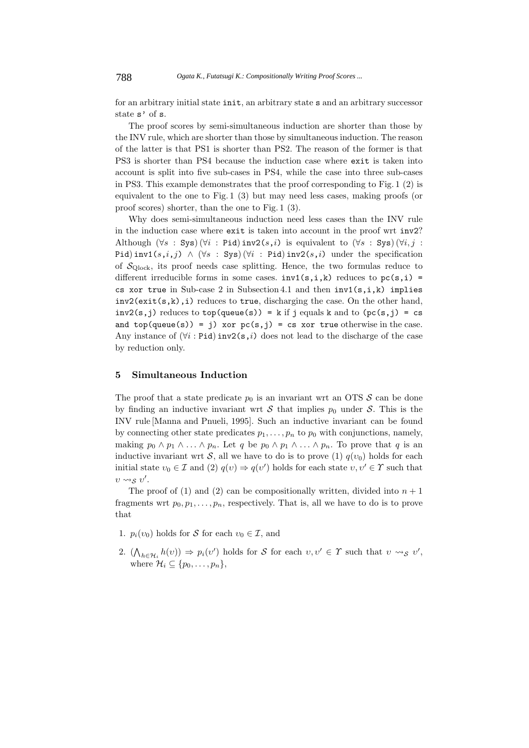788 *Ogata K., Futatsugi K.: Compositionally Writing Proof Scores ...*

for an arbitrary initial state init, an arbitrary state s and an arbitrary successor state s' of s.

The proof scores by semi-simultaneous induction are shorter than those by the INV rule, which are shorter than those by simultaneous induction. The reason of the latter is that PS1 is shorter than PS2. The reason of the former is that PS3 is shorter than PS4 because the induction case where exit is taken into account is split into five sub-cases in PS4, while the case into three sub-cases in PS3. This example demonstrates that the proof corresponding to Fig. 1 (2) is equivalent to the one to Fig. 1 (3) but may need less cases, making proofs (or proof scores) shorter, than the one to Fig. 1 (3).

Why does semi-simultaneous induction need less cases than the INV rule in the induction case where exit is taken into account in the proof wrt inv2? Although  $(\forall s : Sys) (\forall i : Pid) inv2(s, i)$  is equivalent to  $(\forall s : Sys) (\forall i, j : Pid) inv2(s, i)$ Pid) inv1(s,i,j)  $\wedge$  ( $\forall s$ : Sys) ( $\forall i$ : Pid) inv2(s,i) under the specification of  $\mathcal{S}_{\text{Qlock}}$ , its proof needs case splitting. Hence, the two formulas reduce to different irreducible forms in some cases.  $inv1(s,i,k)$  reduces to  $pc(s,i)$  = cs xor true in Sub-case 2 in Subsection 4.1 and then  $inv1(s,i,k)$  implies  $inv2(\text{exit}(s,k),i)$  reduces to true, discharging the case. On the other hand,  $inv2(s, j)$  reduces to  $top(queue(s)) = k$  if j equals k and to  $(pc(s, j) = cs$ and top(queue(s)) = j) xor  $pc(s,j)$  = cs xor true otherwise in the case. Any instance of  $(\forall i : \text{Pid})$  inv2(s,i) does not lead to the discharge of the case by reduction only.

# **5 Simultaneous Induction**

The proof that a state predicate  $p_0$  is an invariant wrt an OTS S can be done by finding an inductive invariant wrt S that implies  $p_0$  under S. This is the INV rule [Manna and Pnueli, 1995]. Such an inductive invariant can be found by connecting other state predicates  $p_1, \ldots, p_n$  to  $p_0$  with conjunctions, namely, making  $p_0 \wedge p_1 \wedge \ldots \wedge p_n$ . Let q be  $p_0 \wedge p_1 \wedge \ldots \wedge p_n$ . To prove that q is an inductive invariant wrt S, all we have to do is to prove (1)  $q(v_0)$  holds for each initial state  $v_0 \in \mathcal{I}$  and (2)  $q(v) \Rightarrow q(v')$  holds for each state  $v, v' \in \mathcal{Y}$  such that  $v \rightsquigarrow_{S} v'.$ 

The proof of (1) and (2) can be compositionally written, divided into  $n + 1$ fragments wrt  $p_0, p_1, \ldots, p_n$ , respectively. That is, all we have to do is to prove that

- 1.  $p_i(v_0)$  holds for S for each  $v_0 \in \mathcal{I}$ , and
- 2.  $(\bigwedge_{h \in \mathcal{H}_i} h(v)) \Rightarrow p_i(v')$  holds for S for each  $v, v' \in \Upsilon$  such that  $v \leadsto_{\mathcal{S}} v'$ , where  $\mathcal{H}_i \subseteq \{p_0, \ldots, p_n\},\$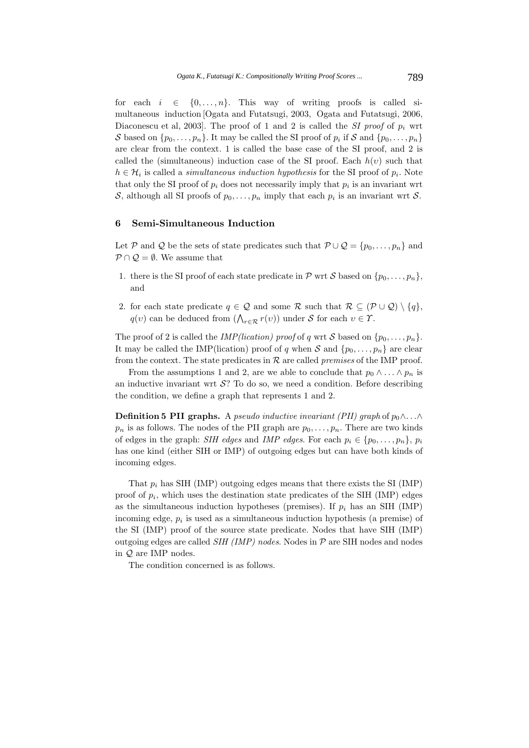for each  $i \in \{0, \ldots, n\}$ . This way of writing proofs is called simultaneous induction [Ogata and Futatsugi, 2003, Ogata and Futatsugi, 2006, Diaconescu et al, 2003]. The proof of 1 and 2 is called the *SI proof* of  $p_i$  wrt S based on  $\{p_0,\ldots,p_n\}$ . It may be called the SI proof of  $p_i$  if S and  $\{p_0,\ldots,p_n\}$ are clear from the context. 1 is called the base case of the SI proof, and 2 is called the (simultaneous) induction case of the SI proof. Each  $h(v)$  such that  $h \in \mathcal{H}_i$  is called a *simultaneous induction hypothesis* for the SI proof of  $p_i$ . Note that only the SI proof of  $p_i$  does not necessarily imply that  $p_i$  is an invariant wrt S, although all SI proofs of  $p_0, \ldots, p_n$  imply that each  $p_i$  is an invariant wrt S.

### **6 Semi-Simultaneous Induction**

Let P and Q be the sets of state predicates such that  $\mathcal{P}\cup\mathcal{Q} = \{p_0,\ldots,p_n\}$  and  $P \cap Q = \emptyset$ . We assume that

- 1. there is the SI proof of each state predicate in  $P$  wrt S based on  $\{p_0, \ldots, p_n\}$ , and
- 2. for each state predicate  $q \in \mathcal{Q}$  and some R such that  $\mathcal{R} \subseteq (\mathcal{P} \cup \mathcal{Q}) \setminus \{q\},\$  $q(v)$  can be deduced from  $(\bigwedge_{r \in \mathcal{R}} r(v))$  under S for each  $v \in \mathcal{Y}$ .

The proof of 2 is called the *IMP(lication) proof* of q wrt S based on  $\{p_0, \ldots, p_n\}$ . It may be called the IMP(lication) proof of q when S and  $\{p_0, \ldots, p_n\}$  are clear from the context. The state predicates in R are called *premises* of the IMP proof.

From the assumptions 1 and 2, are we able to conclude that  $p_0 \wedge \ldots \wedge p_n$  is an inductive invariant wrt  $S$ ? To do so, we need a condition. Before describing the condition, we define a graph that represents 1 and 2.

**Definition 5 PII graphs.** A *pseudo inductive invariant (PII) graph* of  $p_0 \wedge \ldots \wedge$  $p_n$  is as follows. The nodes of the PII graph are  $p_0, \ldots, p_n$ . There are two kinds of edges in the graph: *SIH edges* and *IMP edges*. For each  $p_i \in \{p_0, \ldots, p_n\}, p_i$ has one kind (either SIH or IMP) of outgoing edges but can have both kinds of incoming edges.

That  $p_i$  has SIH (IMP) outgoing edges means that there exists the SI (IMP) proof of  $p_i$ , which uses the destination state predicates of the SIH (IMP) edges as the simultaneous induction hypotheses (premises). If  $p_i$  has an SIH (IMP) incoming edge, p*<sup>i</sup>* is used as a simultaneous induction hypothesis (a premise) of the SI (IMP) proof of the source state predicate. Nodes that have SIH (IMP) outgoing edges are called *SIH (IMP) nodes*. Nodes in P are SIH nodes and nodes in Q are IMP nodes.

The condition concerned is as follows.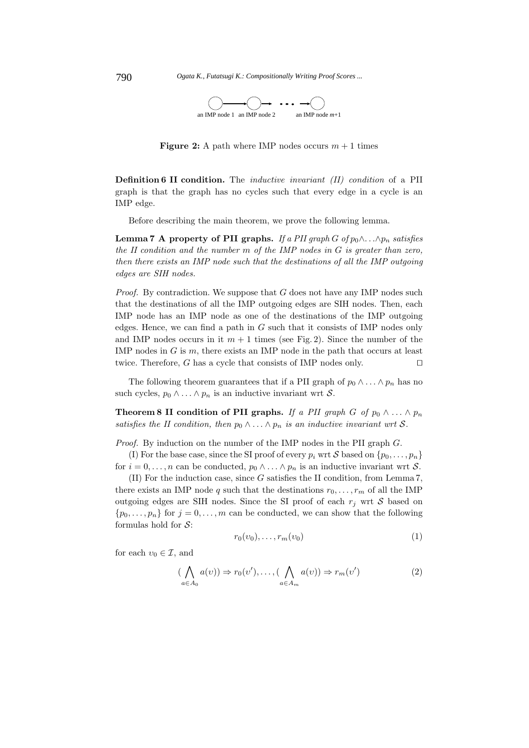790 *Ogata K., Futatsugi K.: Compositionally Writing Proof Scores ...*



**Figure 2:** A path where IMP nodes occurs  $m + 1$  times

**Definition 6 II condition.** The *inductive invariant (II) condition* of a PII graph is that the graph has no cycles such that every edge in a cycle is an IMP edge.

Before describing the main theorem, we prove the following lemma.

**Lemma 7 A property of PII graphs.** *If a PII graph*  $G$  *of*  $p_0 \wedge \ldots \wedge p_n$  *satisfies the II condition and the number* m *of the IMP nodes in* G *is greater than zero, then there exists an IMP node such that the destinations of all the IMP outgoing edges are SIH nodes.*

*Proof.* By contradiction. We suppose that G does not have any IMP nodes such that the destinations of all the IMP outgoing edges are SIH nodes. Then, each IMP node has an IMP node as one of the destinations of the IMP outgoing edges. Hence, we can find a path in  $G$  such that it consists of IMP nodes only and IMP nodes occurs in it  $m + 1$  times (see Fig. 2). Since the number of the IMP nodes in  $G$  is  $m$ , there exists an IMP node in the path that occurs at least twice. Therefore, G has a cycle that consists of IMP nodes only.  $\square$ 

The following theorem guarantees that if a PII graph of  $p_0 \wedge \ldots \wedge p_n$  has no such cycles,  $p_0 \wedge \ldots \wedge p_n$  is an inductive invariant wrt S.

**Theorem 8 II condition of PII graphs.** *If a PII graph* G *of*  $p_0 \wedge ... \wedge p_n$ *satisfies the II condition, then*  $p_0 \wedge \ldots \wedge p_n$  *is an inductive invariant wrt* S.

*Proof.* By induction on the number of the IMP nodes in the PII graph G.

(I) For the base case, since the SI proof of every  $p_i$  wrt S based on  $\{p_0, \ldots, p_n\}$ for  $i = 0, \ldots, n$  can be conducted,  $p_0 \wedge \ldots \wedge p_n$  is an inductive invariant wrt S.

(II) For the induction case, since G satisfies the II condition, from Lemma 7, there exists an IMP node q such that the destinations  $r_0, \ldots, r_m$  of all the IMP outgoing edges are SIH nodes. Since the SI proof of each  $r_j$  wrt S based on  $\{p_0,\ldots,p_n\}$  for  $j=0,\ldots,m$  can be conducted, we can show that the following formulas hold for  $S$ :

$$
r_0(v_0), \ldots, r_m(v_0) \tag{1}
$$

for each  $v_0 \in \mathcal{I}$ , and

$$
(\bigwedge_{a \in A_0} a(v)) \Rightarrow r_0(v'), \dots, (\bigwedge_{a \in A_m} a(v)) \Rightarrow r_m(v')
$$
 (2)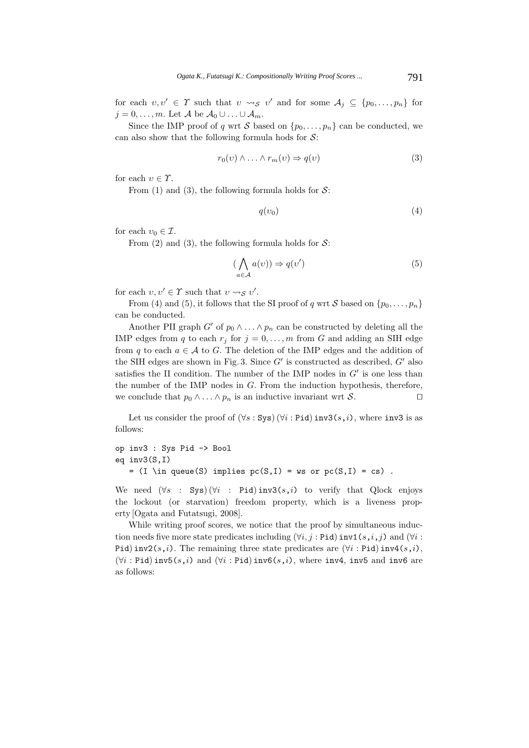for each  $v, v' \in \Upsilon$  such that  $v \leadsto_{\mathcal{S}} v'$  and for some  $\mathcal{A}_j \subseteq \{p_0, \ldots, p_n\}$  for  $j = 0, \ldots, m$ . Let A be  $A_0 \cup \ldots \cup A_m$ .

Since the IMP proof of q wrt S based on  $\{p_0, \ldots, p_n\}$  can be conducted, we can also show that the following formula hods for  $S$ :

$$
r_0(v) \wedge \ldots \wedge r_m(v) \Rightarrow q(v) \tag{3}
$$

for each  $v \in \Upsilon$ .

From (1) and (3), the following formula holds for  $\mathcal{S}$ :

$$
q(v_0) \tag{4}
$$

for each  $v_0 \in \mathcal{I}$ .

From (2) and (3), the following formula holds for  $S$ :

$$
(\bigwedge_{a \in \mathcal{A}} a(v)) \Rightarrow q(v') \tag{5}
$$

for each  $v, v' \in \Upsilon$  such that  $v \rightsquigarrow_{S} v'.$ 

From (4) and (5), it follows that the SI proof of q wrt S based on  $\{p_0, \ldots, p_n\}$ can be conducted.

Another PII graph  $G'$  of  $p_0 \wedge \ldots \wedge p_n$  can be constructed by deleting all the IMP edges from q to each  $r_j$  for  $j = 0, \ldots, m$  from G and adding an SIH edge from q to each  $a \in \mathcal{A}$  to G. The deletion of the IMP edges and the addition of the SIH edges are shown in Fig. 3. Since  $G'$  is constructed as described,  $G'$  also satisfies the II condition. The number of the IMP nodes in  $G'$  is one less than the number of the IMP nodes in  $G$ . From the induction hypothesis, therefore, we conclude that  $p_0 \wedge ... \wedge p_n$  is an inductive invariant wrt S.

Let us consider the proof of  $(\forall s : Sys) (\forall i : Pid)$  inv3 $(s, i)$ , where inv3 is as follows:

```
op inv3 : Sys Pid -> Bool
eq inv3(S,I)
   = (I \in \mathcal{S}) implies pc(S, I) = ws or pc(S, I) = cs).
```
We need  $(\forall s : Sys)(\forall i : Pid)$  inv3 $(s, i)$  to verify that Qlock enjoys the lockout (or starvation) freedom property, which is a liveness property [Ogata and Futatsugi, 2008].

While writing proof scores, we notice that the proof by simultaneous induction needs five more state predicates including  $(\forall i, j : \text{Pid})$  inv1 $(s, i, j)$  and  $(\forall i :$ Pid) inv2(s,i). The remaining three state predicates are  $(\forall i :$  Pid) inv4(s,i),  $(\forall i : \text{Pid})$  inv5 $(s, i)$  and  $(\forall i : \text{Pid})$  inv6 $(s, i)$ , where inv4, inv5 and inv6 are as follows: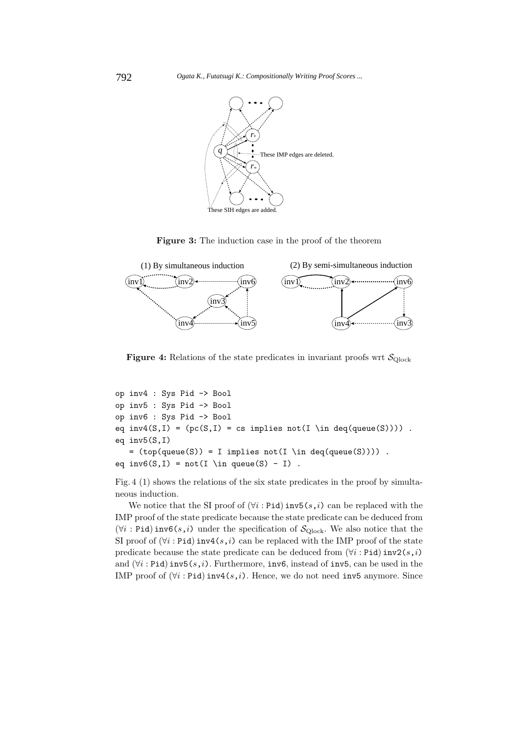

**Figure 3:** The induction case in the proof of the theorem



**Figure 4:** Relations of the state predicates in invariant proofs wrt  $\mathcal{S}_{\text{Qlock}}$ 

```
op inv4 : Sys Pid -> Bool
op inv5 : Sys Pid -> Bool
op inv6 : Sys Pid -> Bool
eq inv4(S,I) = (pc(S,I) = cs implies not(I \in deq(queue(S)))).
eq inv5(S,I)
   = (top(queue(S)) = I implies not(I \in deq(queue(S)))) .
eq inv6(S,I) = not(I \in \text{queue}(S) - I).
```
Fig. 4 (1) shows the relations of the six state predicates in the proof by simultaneous induction.

We notice that the SI proof of  $(\forall i : \text{Pid})$  inv5 $(s, i)$  can be replaced with the IMP proof of the state predicate because the state predicate can be deduced from  $(\forall i : \text{Pid})$  inv6(s,i) under the specification of  $\mathcal{S}_{\text{Qlock}}$ . We also notice that the SI proof of  $(\forall i : \text{Pid})$  inv4 $(s, i)$  can be replaced with the IMP proof of the state predicate because the state predicate can be deduced from  $(\forall i :$ Pid) inv2 $(s, i)$ and  $(\forall i : \text{Pid})$  inv5 $(s, i)$ . Furthermore, inv6, instead of inv5, can be used in the IMP proof of  $(\forall i : \text{Pid})$  inv4 $(s, i)$ . Hence, we do not need inv5 anymore. Since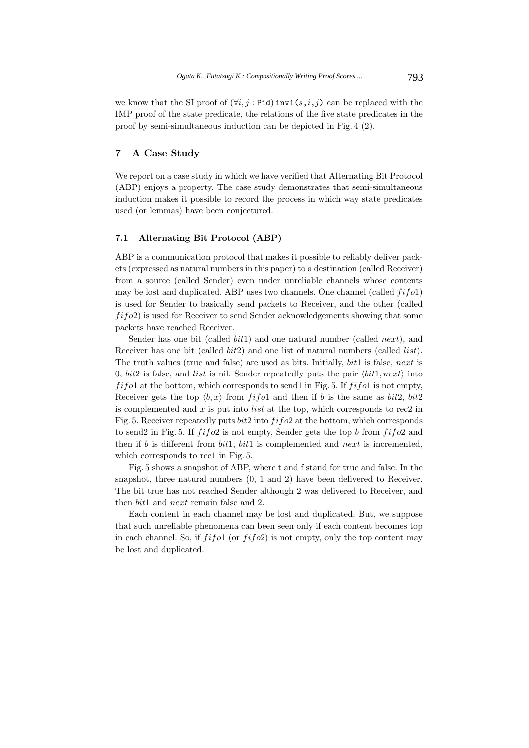we know that the SI proof of  $(\forall i, j : \text{Pid})$  inv1 $(s, i, j)$  can be replaced with the IMP proof of the state predicate, the relations of the five state predicates in the proof by semi-simultaneous induction can be depicted in Fig. 4 (2).

# **7 A Case Study**

We report on a case study in which we have verified that Alternating Bit Protocol (ABP) enjoys a property. The case study demonstrates that semi-simultaneous induction makes it possible to record the process in which way state predicates used (or lemmas) have been conjectured.

### **7.1 Alternating Bit Protocol (ABP)**

ABP is a communication protocol that makes it possible to reliably deliver packets (expressed as natural numbers in this paper) to a destination (called Receiver) from a source (called Sender) even under unreliable channels whose contents may be lost and duplicated. ABP uses two channels. One channel (called  $fifo1$ ) is used for Sender to basically send packets to Receiver, and the other (called  $fifo2$ ) is used for Receiver to send Sender acknowledgements showing that some packets have reached Receiver.

Sender has one bit (called  $bit1$ ) and one natural number (called *next*), and Receiver has one bit (called *bit2*) and one list of natural numbers (called *list*). The truth values (true and false) are used as bits. Initially, bit1 is false, next is 0,  $bit2$  is false, and *list* is nil. Sender repeatedly puts the pair  $\langle bit1, next \rangle$  into  $f$ i f o1 at the bottom, which corresponds to send1 in Fig. 5. If  $f$ i f o1 is not empty, Receiver gets the top  $\langle b, x \rangle$  from fifol and then if b is the same as bit2, bit2 is complemented and  $x$  is put into *list* at the top, which corresponds to rec2 in Fig. 5. Receiver repeatedly puts  $bit2$  into  $fifo2$  at the bottom, which corresponds to send2 in Fig. 5. If  $f$ if  $f$ o2 is not empty, Sender gets the top b from  $f$ if  $o$ 2 and then if b is different from  $bit1$ ,  $bit1$  is complemented and next is incremented, which corresponds to rec1 in Fig. 5.

Fig. 5 shows a snapshot of ABP, where t and f stand for true and false. In the snapshot, three natural numbers (0, 1 and 2) have been delivered to Receiver. The bit true has not reached Sender although 2 was delivered to Receiver, and then bit1 and next remain false and 2.

Each content in each channel may be lost and duplicated. But, we suppose that such unreliable phenomena can been seen only if each content becomes top in each channel. So, if  $f$ i $f$ o1 (or  $f$ i $f$ o2) is not empty, only the top content may be lost and duplicated.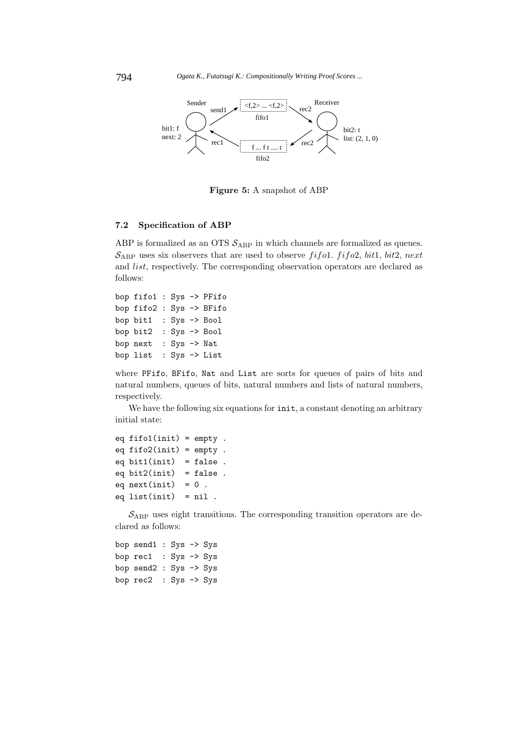

**Figure 5:** A snapshot of ABP

# **7.2 Specification of ABP**

ABP is formalized as an OTS  $S_{ABP}$  in which channels are formalized as queues.  $S_{ABP}$  uses six observers that are used to observe fifol. fifo2, bit1, bit2, next and list, respectively. The corresponding observation operators are declared as follows:

```
bop fifo1 : Sys -> PFifo
bop fifo2 : Sys -> BFifo
bop bit1 : Sys -> Bool
bop bit2 : Sys -> Bool
bop next : Sys -> Nat
bop list : Sys -> List
```
where PFifo, BFifo, Nat and List are sorts for queues of pairs of bits and natural numbers, queues of bits, natural numbers and lists of natural numbers, respectively.

We have the following six equations for  $init$ , a constant denoting an arbitrary initial state:

```
eq fifol(int) = empty.
eq fifo2(init) = empty .
eq bit1(int) = false.
eq bit2(init) = false.
eq next(int) = 0.
eq list(int) = nil.
```
 $\mathcal{S}_{ABP}$  uses eight transitions. The corresponding transition operators are declared as follows:

```
bop send1 : Sys -> Sys
bop rec1 : Sys -> Sys
bop send2 : Sys -> Sys
bop rec2 : Sys -> Sys
```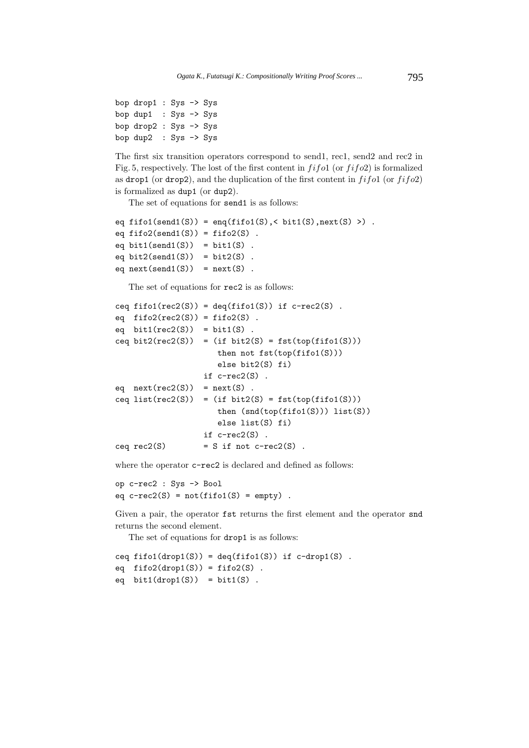```
bop drop1 : Sys -> Sys
bop dup1 : Sys \rightarrow Sysbop drop2 : Sys -> Sys
bop dup2 : Sys -> Sys
```
The first six transition operators correspond to send1, rec1, send2 and rec2 in Fig. 5, respectively. The lost of the first content in  $fif$  o1 (or  $fif$  o2) is formalized as drop1 (or drop2), and the duplication of the first content in  $fifo1$  (or  $fifo2$ ) is formalized as dup1 (or dup2).

The set of equations for send1 is as follows:

```
eq fifo1(send1(S)) = enq(fifo1(S), < bit1(S),next(S) >).
eq fifo2(send1(S)) = fifo2(S).
eq bit1(send1(S)) = bit1(S).
eq bit2(send1(S)) = bit2(S).
eq next(send1(S)) = next(S).
```
The set of equations for rec2 is as follows:

```
ceq fifo1(rec2(S)) = deq(fifo1(S)) if c-rec2(S).
eq \text{fifo2}(\text{rec2}(S)) = \text{fifo2}(S).
eq bit1(rec2(S)) = bit1(S).
ceq bit2(rec2(S)) = (if bit2(S) = fst(top(fifo1(S)))
                      then not fst(top(fifo1(S)))
                      else bit2(S) fi)
                   if c-rec2(S) .
eq next(rec2(S)) = next(S).
ceq list(rec2(S)) = (if bit2(S) = fst(top(fif01(S)))then (snd(top(fifo1(S))) list(S))
                      else list(S) fi)
                   if c-rec2(S) .
ceq rec2(S) = S if not c-rec2(S).
```
where the operator  $c$ -rec2 is declared and defined as follows:

op c-rec2 : Sys -> Bool eq  $c$ -rec2(S) =  $not(fifol(S)$  =  $empty)$ .

Given a pair, the operator fst returns the first element and the operator snd returns the second element.

The set of equations for drop1 is as follows:

ceq  $fifol(drop1(S)) = deg(fifol(S))$  if  $c-drop1(S)$ . eq  $\text{fifo2}(\text{drop1}(S)) = \text{fifo2}(S)$ . eq  $bit1(drop1(S)) = bit1(S)$ .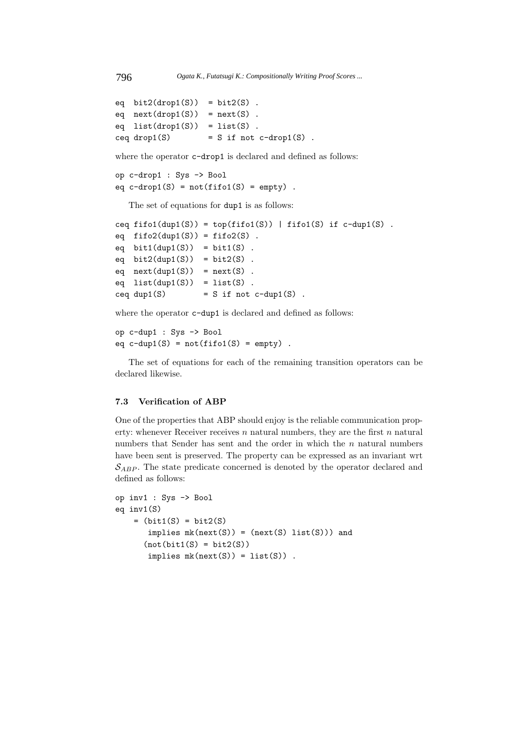```
eq bit2(drop1(S)) = bit2(S).
eq next(drop1(S)) = next(S).
eq list(drop1(S)) = list(S).
ceq drop1(S) = S if not c-drop1(S).
```
where the operator  $c$ -drop1 is declared and defined as follows:

```
op c-drop1 : Sys -> Bool
eq c-drop1(S) = not(fifo1(S) = empty).
```
The set of equations for dup1 is as follows:

```
ceq fifo1(dup1(S)) = top(fifo1(S)) | fifo1(S) if c-dup1(S).
eq fifo2(dup1(S)) = fifo2(S).
eq bit1(dup1(S)) = bit1(S).
eq bit2(dup1(S)) = bit2(S).
eq next(dup1(S)) = next(S).
eq list(dup1(S)) = list(S).
ceq dup1(S) = S if not c-dup1(S).
```
where the operator  $c$ -dup1 is declared and defined as follows:

op c-dup1 : Sys -> Bool eq  $c$ -dup1(S) =  $not(fifol(S) = empty)$ .

The set of equations for each of the remaining transition operators can be declared likewise.

#### **7.3 Verification of ABP**

One of the properties that ABP should enjoy is the reliable communication property: whenever Receiver receives  $n$  natural numbers, they are the first  $n$  natural numbers that Sender has sent and the order in which the  $n$  natural numbers have been sent is preserved. The property can be expressed as an invariant wrt  $S_{ABP}$ . The state predicate concerned is denoted by the operator declared and defined as follows:

```
op inv1 : Sys -> Bool
eq inv1(S)
    = (bit1(S) = bit2(S)
       implies mk(next(S)) = (next(S) list(S))) and
      (not(bitt(S) = bit2(S))implies mk(next(S)) = list(S)).
```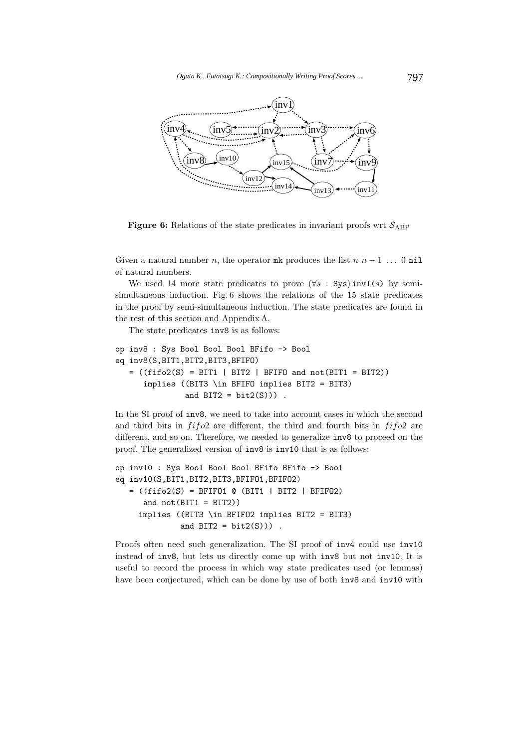

**Figure 6:** Relations of the state predicates in invariant proofs wrt  $S_{ABP}$ 

Given a natural number n, the operator mk produces the list  $n n - 1$ ... 0 nil of natural numbers.

We used 14 more state predicates to prove  $(\forall s : Sys)$  inv1(s) by semisimultaneous induction. Fig. 6 shows the relations of the 15 state predicates in the proof by semi-simultaneous induction. The state predicates are found in the rest of this section and Appendix A.

The state predicates inv8 is as follows:

```
op inv8 : Sys Bool Bool Bool BFifo -> Bool
eq inv8(S,BIT1,BIT2,BIT3,BFIFO)
   = ((fifo2(S) = BIT1 | BIT2 | BFIFO and not(BIT1 = BIT2))
      implies ((BIT3 \in BFIFO implies BIT2 = BIT3)
               and BIT2 = bit2(S)).
```
In the SI proof of inv8, we need to take into account cases in which the second and third bits in  $f$ i $f$ o2 are different, the third and fourth bits in  $f$ i $f$ o2 are different, and so on. Therefore, we needed to generalize inv8 to proceed on the proof. The generalized version of inv8 is inv10 that is as follows:

```
op inv10 : Sys Bool Bool Bool BFifo BFifo -> Bool
eq inv10(S,BIT1,BIT2,BIT3,BFIFO1,BFIFO2)
   = ((fifo2(S) = BFIT01 @ (BIT1 | BIT2 | BFIT02))and not(BIT1 = BIT2))implies ((BIT3 \in BFIFO2 implies BIT2 = BIT3)
              and BIT2 = bit2(S)).
```
Proofs often need such generalization. The SI proof of inv4 could use inv10 instead of inv8, but lets us directly come up with inv8 but not inv10. It is useful to record the process in which way state predicates used (or lemmas) have been conjectured, which can be done by use of both inv8 and inv10 with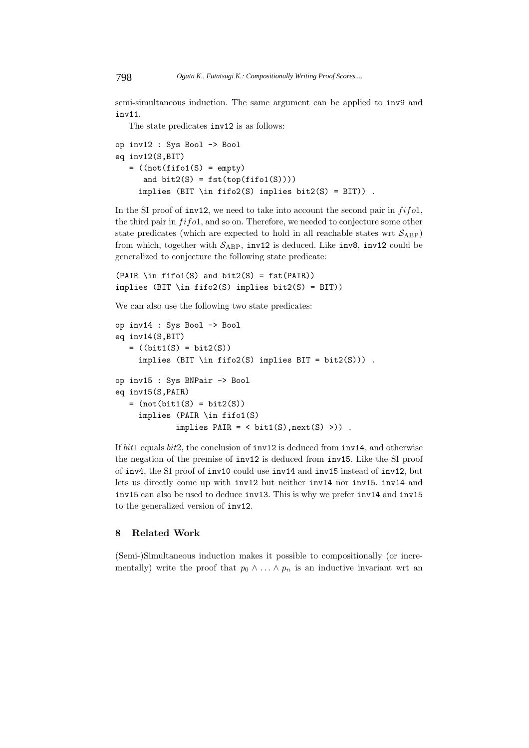semi-simultaneous induction. The same argument can be applied to inv9 and inv11.

The state predicates inv12 is as follows:

```
op inv12 : Sys Bool -> Bool
eq inv12(S,BIT)
   = ((not (fit01(S) = empty))and bit2(S) = fst(top(fifo1(S))))implies (BIT \in fifo2(S) implies bit2(S) = BIT)).
```
In the SI proof of inv12, we need to take into account the second pair in  $f$ i $f$ o1, the third pair in  $f$ *i* $f$  $o$ 1, and so on. Therefore, we needed to conjecture some other state predicates (which are expected to hold in all reachable states wrt  $\mathcal{S}_{ABP}$ ) from which, together with  $S_{ABP}$ , inv12 is deduced. Like inv8, inv12 could be generalized to conjecture the following state predicate:

```
(PAIR \in \text{fifol}(S) \text{ and } \text{bit2}(S) = \text{fst}(PAIR))implies (BIT \in fifo2(S) implies bit2(S) = BIT))
```
We can also use the following two state predicates:

```
op inv14 : Sys Bool -> Bool
eq inv14(S,BIT)
   = ((bit1(S) = bit2(S))implies (BIT \in fifo2(S) implies BIT = bit2(S))) .
op inv15 : Sys BNPair -> Bool
eq inv15(S,PAIR)
   = (not(bit1(S) = bit2(S))
     implies (PAIR \in fifo1(S)
               implies \text{PAIR} = \langle \text{bit1(S)}, \text{next(S)} \rangle).
```
If bit1 equals bit2, the conclusion of inv12 is deduced from inv14, and otherwise the negation of the premise of inv12 is deduced from inv15. Like the SI proof of inv4, the SI proof of inv10 could use inv14 and inv15 instead of inv12, but lets us directly come up with inv12 but neither inv14 nor inv15. inv14 and inv15 can also be used to deduce inv13. This is why we prefer inv14 and inv15 to the generalized version of inv12.

# **8 Related Work**

(Semi-)Simultaneous induction makes it possible to compositionally (or incrementally) write the proof that  $p_0 \wedge \ldots \wedge p_n$  is an inductive invariant wrt an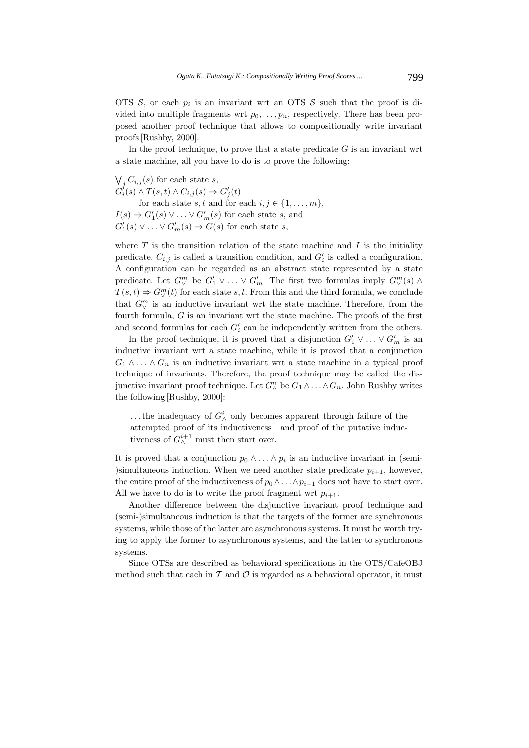OTS  $S$ , or each  $p_i$  is an invariant wrt an OTS  $S$  such that the proof is divided into multiple fragments wrt  $p_0, \ldots, p_n$ , respectively. There has been proposed another proof technique that allows to compositionally write invariant proofs [Rushby, 2000].

In the proof technique, to prove that a state predicate  $G$  is an invariant wrt a state machine, all you have to do is to prove the following:

 $\bigvee_j C_{i,j}(s)$  for each state s,  $G'_{i}(s) \wedge T(s,t) \wedge C_{i,j}(s) \Rightarrow G'_{j}(t)$ for each state s, t and for each  $i, j \in \{1, \ldots, m\},\$  $I(s) \Rightarrow G'_1(s) \vee \ldots \vee G'_m(s)$  for each state s, and  $G'_{1}(s) \vee \ldots \vee G'_{m}(s) \Rightarrow G(s)$  for each state s,

where  $T$  is the transition relation of the state machine and  $I$  is the initiality predicate.  $C_{i,j}$  is called a transition condition, and  $G'_{i}$  is called a configuration. A configuration can be regarded as an abstract state represented by a state predicate. Let  $G^m_\vee$  be  $G'_1 \vee \ldots \vee G'_m$ . The first two formulas imply  $G^m_\vee(s) \wedge$  $T(s,t) \Rightarrow G_{\vee}^{m}(t)$  for each state s, t. From this and the third formula, we conclude that  $G_V^m$  is an inductive invariant wrt the state machine. Therefore, from the fourth formula,  $G$  is an invariant wrt the state machine. The proofs of the first and second formulas for each  $G_i'$  can be independently written from the others.

In the proof technique, it is proved that a disjunction  $G'_1 \vee \ldots \vee G'_m$  is an inductive invariant wrt a state machine, while it is proved that a conjunction  $G_1 \wedge \ldots \wedge G_n$  is an inductive invariant wrt a state machine in a typical proof technique of invariants. Therefore, the proof technique may be called the disjunctive invariant proof technique. Let  $G_{\Lambda}^n$  be  $G_1 \wedge \ldots \wedge G_n$ . John Rushby writes the following [Rushby, 2000]:

... the inadequacy of  $G^i_$  only becomes apparent through failure of the attempted proof of its inductiveness—and proof of the putative inductiveness of  $G_{\wedge}^{i+1}$  must then start over.

It is proved that a conjunction  $p_0 \wedge \ldots \wedge p_i$  is an inductive invariant in (semi-)simultaneous induction. When we need another state predicate  $p_{i+1}$ , however, the entire proof of the inductiveness of  $p_0 \wedge \ldots \wedge p_{i+1}$  does not have to start over. All we have to do is to write the proof fragment wrt  $p_{i+1}$ .

Another difference between the disjunctive invariant proof technique and (semi-)simultaneous induction is that the targets of the former are synchronous systems, while those of the latter are asynchronous systems. It must be worth trying to apply the former to asynchronous systems, and the latter to synchronous systems.

Since OTSs are described as behavioral specifications in the OTS/CafeOBJ method such that each in  $\mathcal T$  and  $\mathcal O$  is regarded as a behavioral operator, it must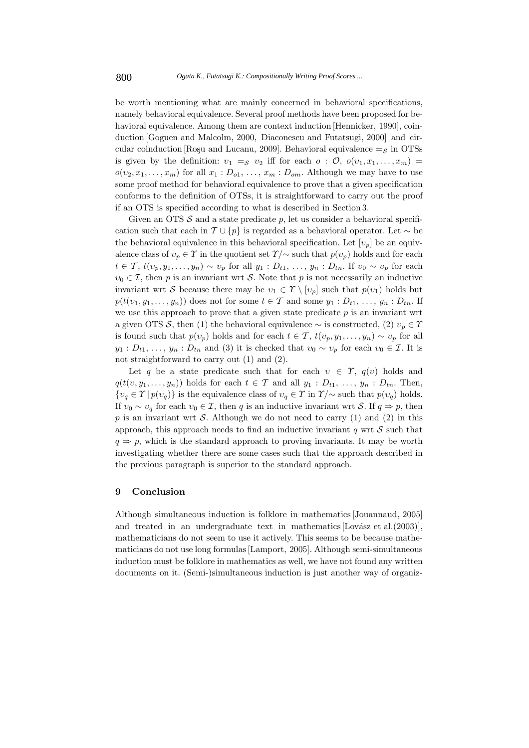be worth mentioning what are mainly concerned in behavioral specifications, namely behavioral equivalence. Several proof methods have been proposed for behavioral equivalence. Among them are context induction [Hennicker, 1990], coinduction [Goguen and Malcolm, 2000, Diaconescu and Futatsugi, 2000] and circular coinduction [Roşu and Lucanu, 2009]. Behavioral equivalence  $=$ <sub>S</sub> in OTSs is given by the definition:  $v_1 =_S v_2$  iff for each  $o : \mathcal{O}, o(v_1, x_1, \ldots, x_m)$  $o(v_2, x_1, \ldots, x_m)$  for all  $x_1 : D_{o1}, \ldots, x_m : D_{om}$ . Although we may have to use some proof method for behavioral equivalence to prove that a given specification conforms to the definition of OTSs, it is straightforward to carry out the proof if an OTS is specified according to what is described in Section 3.

Given an OTS  $S$  and a state predicate p, let us consider a behavioral specification such that each in  $\mathcal{T} \cup \{p\}$  is regarded as a behavioral operator. Let  $\sim$  be the behavioral equivalence in this behavioral specification. Let  $[v_p]$  be an equivalence class of  $v_p \in \Upsilon$  in the quotient set  $\Upsilon/\sim$  such that  $p(v_p)$  holds and for each  $t \in \mathcal{T}$ ,  $t(v_p, y_1, \ldots, y_n) \sim v_p$  for all  $y_1 : D_{t_1}, \ldots, y_n : D_{t_n}$ . If  $v_0 \sim v_p$  for each  $v_0 \in \mathcal{I}$ , then p is an invariant wrt S. Note that p is not necessarily an inductive invariant wrt S because there may be  $v_1 \in \mathcal{T} \setminus [v_p]$  such that  $p(v_1)$  holds but  $p(t(v_1, y_1, \ldots, y_n))$  does not for some  $t \in \mathcal{T}$  and some  $y_1 : D_{t1}, \ldots, y_n : D_{tn}$ . If we use this approach to prove that a given state predicate  $p$  is an invariant wrt a given OTS S, then (1) the behavioral equivalence  $\sim$  is constructed, (2)  $v_p \in \Upsilon$ is found such that  $p(v_p)$  holds and for each  $t \in \mathcal{T}$ ,  $t(v_p, y_1, \ldots, y_n) \sim v_p$  for all  $y_1: D_{t1}, \ldots, y_n: D_{tn}$  and (3) it is checked that  $v_0 \sim v_p$  for each  $v_0 \in \mathcal{I}$ . It is not straightforward to carry out (1) and (2).

Let q be a state predicate such that for each  $v \in \Upsilon$ ,  $q(v)$  holds and  $q(t(v, y_1,..., y_n))$  holds for each  $t \in \mathcal{T}$  and all  $y_1 : D_{t_1}, \ldots, y_n : D_{t_n}$ . Then,  $\{v_q \in \Upsilon | p(v_q)\}\$ is the equivalence class of  $v_q \in \Upsilon$  in  $\Upsilon/\sim$  such that  $p(v_q)$  holds. If  $v_0 \sim v_q$  for each  $v_0 \in \mathcal{I}$ , then q is an inductive invariant wrt S. If  $q \Rightarrow p$ , then p is an invariant wrt S. Although we do not need to carry  $(1)$  and  $(2)$  in this approach, this approach needs to find an inductive invariant  $q$  wrt  $S$  such that  $q \Rightarrow p$ , which is the standard approach to proving invariants. It may be worth investigating whether there are some cases such that the approach described in the previous paragraph is superior to the standard approach.

### **9 Conclusion**

Although simultaneous induction is folklore in mathematics [Jouannaud, 2005] and treated in an undergraduate text in mathematics  $[Lovász et al. (2003)],$ mathematicians do not seem to use it actively. This seems to be because mathematicians do not use long formulas [Lamport, 2005]. Although semi-simultaneous induction must be folklore in mathematics as well, we have not found any written documents on it. (Semi-)simultaneous induction is just another way of organiz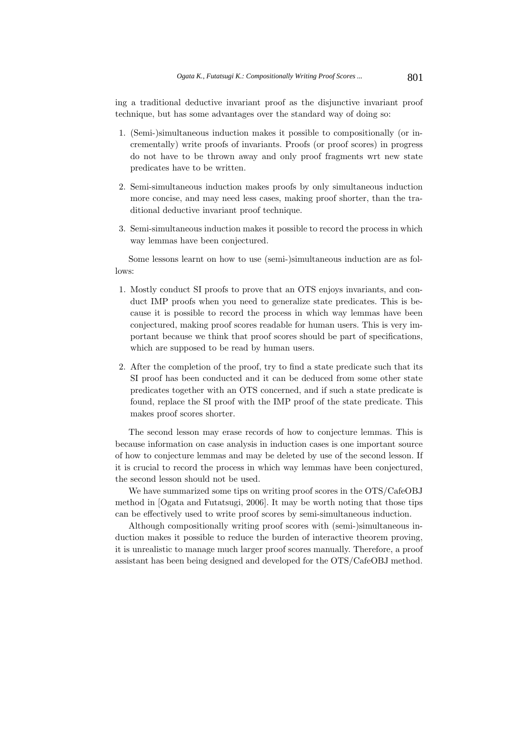ing a traditional deductive invariant proof as the disjunctive invariant proof technique, but has some advantages over the standard way of doing so:

- 1. (Semi-)simultaneous induction makes it possible to compositionally (or incrementally) write proofs of invariants. Proofs (or proof scores) in progress do not have to be thrown away and only proof fragments wrt new state predicates have to be written.
- 2. Semi-simultaneous induction makes proofs by only simultaneous induction more concise, and may need less cases, making proof shorter, than the traditional deductive invariant proof technique.
- 3. Semi-simultaneous induction makes it possible to record the process in which way lemmas have been conjectured.

Some lessons learnt on how to use (semi-)simultaneous induction are as follows:

- 1. Mostly conduct SI proofs to prove that an OTS enjoys invariants, and conduct IMP proofs when you need to generalize state predicates. This is because it is possible to record the process in which way lemmas have been conjectured, making proof scores readable for human users. This is very important because we think that proof scores should be part of specifications, which are supposed to be read by human users.
- 2. After the completion of the proof, try to find a state predicate such that its SI proof has been conducted and it can be deduced from some other state predicates together with an OTS concerned, and if such a state predicate is found, replace the SI proof with the IMP proof of the state predicate. This makes proof scores shorter.

The second lesson may erase records of how to conjecture lemmas. This is because information on case analysis in induction cases is one important source of how to conjecture lemmas and may be deleted by use of the second lesson. If it is crucial to record the process in which way lemmas have been conjectured, the second lesson should not be used.

We have summarized some tips on writing proof scores in the OTS/CafeOBJ method in [Ogata and Futatsugi, 2006]. It may be worth noting that those tips can be effectively used to write proof scores by semi-simultaneous induction.

Although compositionally writing proof scores with (semi-)simultaneous induction makes it possible to reduce the burden of interactive theorem proving, it is unrealistic to manage much larger proof scores manually. Therefore, a proof assistant has been being designed and developed for the OTS/CafeOBJ method.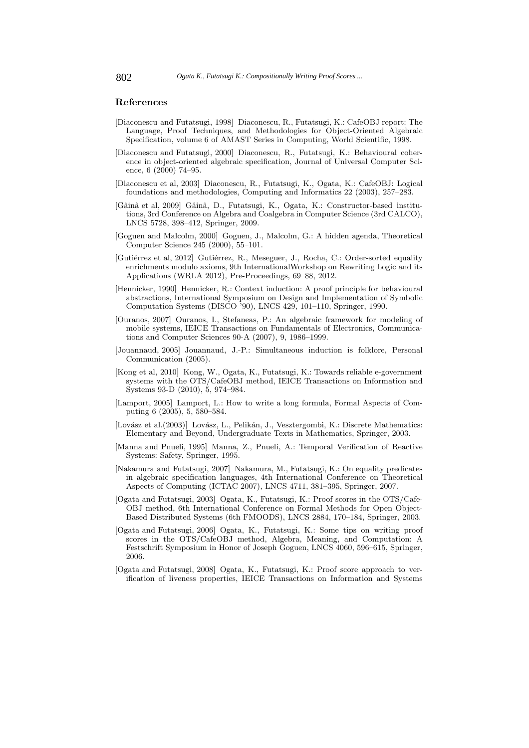# **References**

- [Diaconescu and Futatsugi, 1998] Diaconescu, R., Futatsugi, K.: CafeOBJ report: The Language, Proof Techniques, and Methodologies for Object-Oriented Algebraic Specification, volume 6 of AMAST Series in Computing, World Scientific, 1998.
- [Diaconescu and Futatsugi, 2000] Diaconescu, R., Futatsugi, K.: Behavioural coherence in object-oriented algebraic specification, Journal of Universal Computer Science, 6 (2000) 74–95.
- [Diaconescu et al, 2003] Diaconescu, R., Futatsugi, K., Ogata, K.: CafeOBJ: Logical foundations and methodologies, Computing and Informatics 22 (2003), 257–283.
- [Gâinâ et al, 2009] Gâinâ, D., Futatsugi, K., Ogata, K.: Constructor-based institutions, 3rd Conference on Algebra and Coalgebra in Computer Science (3rd CALCO), LNCS 5728, 398–412, Springer, 2009.
- [Goguen and Malcolm, 2000] Goguen, J., Malcolm, G.: A hidden agenda, Theoretical Computer Science 245 (2000), 55–101.
- [Gutiérrez et al, 2012] Gutiérrez, R., Meseguer, J., Rocha, C.: Order-sorted equality enrichments modulo axioms, 9th InternationalWorkshop on Rewriting Logic and its Applications (WRLA 2012), Pre-Proceedings, 69–88, 2012.
- [Hennicker, 1990] Hennicker, R.: Context induction: A proof principle for behavioural abstractions, International Symposium on Design and Implementation of Symbolic Computation Systems (DISCO '90), LNCS 429, 101–110, Springer, 1990.
- [Ouranos, 2007] Ouranos, I., Stefaneas, P.: An algebraic framework for modeling of mobile systems, IEICE Transactions on Fundamentals of Electronics, Communications and Computer Sciences 90-A (2007), 9, 1986–1999.
- [Jouannaud, 2005] Jouannaud, J.-P.: Simultaneous induction is folklore, Personal Communication (2005).
- [Kong et al, 2010] Kong, W., Ogata, K., Futatsugi, K.: Towards reliable e-government systems with the OTS/CafeOBJ method, IEICE Transactions on Information and Systems 93-D (2010), 5, 974–984.
- [Lamport, 2005] Lamport, L.: How to write a long formula, Formal Aspects of Computing 6 (2005), 5, 580–584.
- [Lovász et al.(2003)] Lovász, L., Pelikán, J., Vesztergombi, K.: Discrete Mathematics: Elementary and Beyond, Undergraduate Texts in Mathematics, Springer, 2003.
- [Manna and Pnueli, 1995] Manna, Z., Pnueli, A.: Temporal Verification of Reactive Systems: Safety, Springer, 1995.
- [Nakamura and Futatsugi, 2007] Nakamura, M., Futatsugi, K.: On equality predicates in algebraic specification languages, 4th International Conference on Theoretical Aspects of Computing (ICTAC 2007), LNCS 4711, 381–395, Springer, 2007.
- [Ogata and Futatsugi, 2003] Ogata, K., Futatsugi, K.: Proof scores in the OTS/Cafe-OBJ method, 6th International Conference on Formal Methods for Open Object-Based Distributed Systems (6th FMOODS), LNCS 2884, 170–184, Springer, 2003.
- [Ogata and Futatsugi, 2006] Ogata, K., Futatsugi, K.: Some tips on writing proof scores in the OTS/CafeOBJ method, Algebra, Meaning, and Computation: A Festschrift Symposium in Honor of Joseph Goguen, LNCS 4060, 596–615, Springer, 2006.
- [Ogata and Futatsugi, 2008] Ogata, K., Futatsugi, K.: Proof score approach to verification of liveness properties, IEICE Transactions on Information and Systems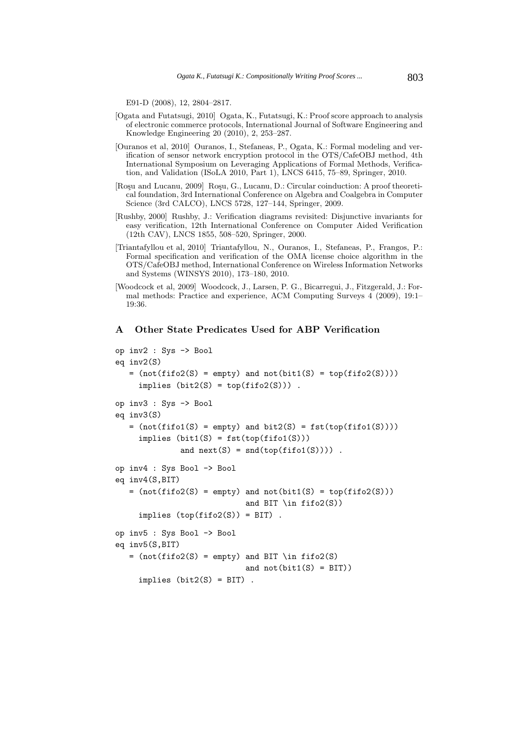E91-D (2008), 12, 2804–2817.

- [Ogata and Futatsugi, 2010] Ogata, K., Futatsugi, K.: Proof score approach to analysis of electronic commerce protocols, International Journal of Software Engineering and Knowledge Engineering 20 (2010), 2, 253–287.
- [Ouranos et al, 2010] Ouranos, I., Stefaneas, P., Ogata, K.: Formal modeling and verification of sensor network encryption protocol in the OTS/CafeOBJ method, 4th International Symposium on Leveraging Applications of Formal Methods, Verification, and Validation (ISoLA 2010, Part 1), LNCS 6415, 75–89, Springer, 2010.
- [Roşu and Lucanu, 2009] Roşu, G., Lucanu, D.: Circular coinduction: A proof theoretical foundation, 3rd International Conference on Algebra and Coalgebra in Computer Science (3rd CALCO), LNCS 5728, 127–144, Springer, 2009.
- [Rushby, 2000] Rushby, J.: Verification diagrams revisited: Disjunctive invariants for easy verification, 12th International Conference on Computer Aided Verification (12th CAV), LNCS 1855, 508–520, Springer, 2000.
- [Triantafyllou et al, 2010] Triantafyllou, N., Ouranos, I., Stefaneas, P., Frangos, P.: Formal specification and verification of the OMA license choice algorithm in the OTS/CafeOBJ method, International Conference on Wireless Information Networks and Systems (WINSYS 2010), 173–180, 2010.
- [Woodcock et al, 2009] Woodcock, J., Larsen, P. G., Bicarregui, J., Fitzgerald, J.: Formal methods: Practice and experience, ACM Computing Surveys 4 (2009), 19:1– 19:36.

# **A Other State Predicates Used for ABP Verification**

```
op inv2 : Sys -> Bool
eq inv2(S)
   = (not(fifo2(S) = empty) and not(bit1(S) = top(fifo2(S))))
     implies (bit2(S) = top(fifo2(S))).
op inv3 : Sys -> Bool
eq inv3(S)
   = (not(fifo1(S) = empty) and bit2(S) = fst(top(fifo1(S))))
     implies (bit1(S) = fst(top(fifo1(S)))
              and next(S) = end(top(fifo1(S)))).
op inv4 : Sys Bool -> Bool
eq inv4(S,BIT)
   = (not(fifo2(S) = empty) and not(bit1(S) = top(fifo2(S)))
                            and BIT \in fifo2(S))
     implies (top(fifo2(S)) = BIT).
op inv5 : Sys Bool -> Bool
eq inv5(S,BIT)
   = (not(fifo2(S) = empty) and BIT \in fifo2(S)
                            and not(bitt(S) = BIT))implies (bit2(S) = BIT).
```